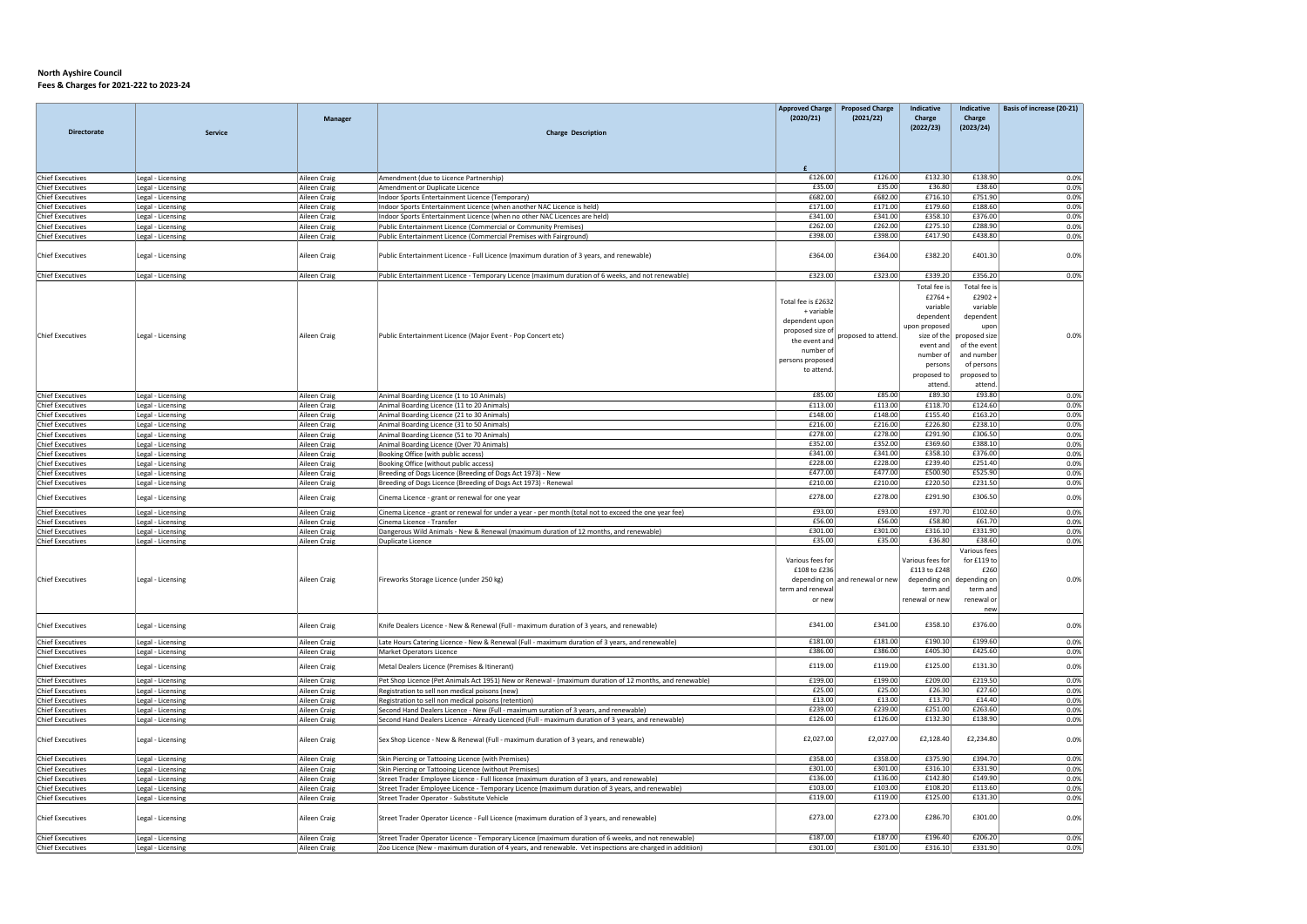|                                                    |                                        | <b>Manager</b>                      |                                                                                                                                                                | <b>Approved Charge</b><br>(2020/21)                            | <b>Proposed Charge</b><br>(2021/22) | Indicative<br>Charge<br>(2022/23)                              | Indicative<br>Charge<br>(2023/24)                                                          | Basis of increase (20-21) |
|----------------------------------------------------|----------------------------------------|-------------------------------------|----------------------------------------------------------------------------------------------------------------------------------------------------------------|----------------------------------------------------------------|-------------------------------------|----------------------------------------------------------------|--------------------------------------------------------------------------------------------|---------------------------|
| <b>Directorate</b>                                 | Service                                |                                     | <b>Charge Description</b>                                                                                                                                      |                                                                |                                     |                                                                |                                                                                            |                           |
| <b>Chief Executives</b>                            | Legal - Licensing                      | Aileen Craig                        | Amendment (due to Licence Partnership)                                                                                                                         | £126.00                                                        | £126.00                             | £132.30                                                        | £138.90                                                                                    | 0.0%                      |
| <b>Chief Executives</b>                            | Legal - Licensing                      | Aileen Craig                        | Amendment or Duplicate Licence                                                                                                                                 | £35.00                                                         | £35.00                              | £36.80                                                         | £38.60                                                                                     | 0.0%                      |
| <b>Chief Executives</b>                            | Legal - Licensing                      | Aileen Craig                        | Indoor Sports Entertainment Licence (Temporary)                                                                                                                | £682.00                                                        | £682.00                             | £716.10                                                        | £751.90                                                                                    | 0.0%                      |
| <b>Chief Executives</b>                            | Legal - Licensing                      | Aileen Craig                        | Indoor Sports Entertainment Licence (when another NAC Licence is held)                                                                                         | £171.00                                                        | £171.00                             | £179.60                                                        | £188.60                                                                                    | 0.0%                      |
| <b>Chief Executives</b>                            | Legal - Licensing                      | Aileen Craig                        | Indoor Sports Entertainment Licence (when no other NAC Licences are held)                                                                                      | £341.00                                                        | £341.00                             | £358.10                                                        | £376.00                                                                                    | 0.0%                      |
| <b>Chief Executives</b>                            | Legal - Licensing                      | Aileen Craig                        | Public Entertainment Licence (Commercial or Community Premises)                                                                                                | £262.00                                                        | £262.00                             | £275.10                                                        | £288.90                                                                                    | 0.0%                      |
| <b>Chief Executives</b><br><b>Chief Executives</b> | Legal - Licensing<br>Legal - Licensing | Aileen Craig<br>Aileen Craig        | Public Entertainment Licence (Commercial Premises with Fairground)<br>Public Entertainment Licence - Full Licence (maximum duration of 3 years, and renewable) | £398.00<br>£364.00                                             | £398.00<br>£364.00                  | £417.90<br>£382.20                                             | £438.80<br>£401.30                                                                         | 0.0%<br>0.0%              |
| <b>Chief Executives</b>                            | Legal - Licensing                      | Aileen Craig                        | Public Entertainment Licence - Temporary Licence (maximum duration of 6 weeks, and not renewable)                                                              | £323.00                                                        | £323.00                             | £339.20                                                        | £356.20                                                                                    | 0.0%                      |
|                                                    |                                        |                                     |                                                                                                                                                                |                                                                |                                     | Total fee is                                                   | Total fee is                                                                               |                           |
|                                                    |                                        |                                     |                                                                                                                                                                |                                                                |                                     | £2764+                                                         | £2902                                                                                      |                           |
|                                                    |                                        |                                     |                                                                                                                                                                | Total fee is £2632<br>+ variable                               |                                     | variable                                                       | variable                                                                                   |                           |
|                                                    |                                        |                                     |                                                                                                                                                                | dependent upor                                                 |                                     | dependent                                                      | dependen                                                                                   |                           |
|                                                    |                                        |                                     |                                                                                                                                                                | proposed size of                                               |                                     | upon proposed                                                  |                                                                                            |                           |
| <b>Chief Executives</b>                            | Legal - Licensing                      | Aileen Craig                        | Public Entertainment Licence (Major Event - Pop Concert etc)                                                                                                   | the event and                                                  | proposed to attend.                 | size of the                                                    | proposed size                                                                              | 0.0%                      |
|                                                    |                                        |                                     |                                                                                                                                                                | number of                                                      |                                     | event and<br>number of                                         | of the event<br>and number                                                                 |                           |
|                                                    |                                        |                                     |                                                                                                                                                                | persons proposed                                               |                                     | persons                                                        | of persons                                                                                 |                           |
|                                                    |                                        |                                     |                                                                                                                                                                | to attend.                                                     |                                     | proposed to                                                    | proposed to                                                                                |                           |
|                                                    |                                        |                                     |                                                                                                                                                                |                                                                |                                     | attend.                                                        | attend.                                                                                    |                           |
| <b>Chief Executives</b>                            | Legal - Licensing                      | Aileen Craia                        | Animal Boarding Licence (1 to 10 Animals)                                                                                                                      | £85.00                                                         | £85.00                              | £89.30                                                         | £93.80                                                                                     | 0.0%                      |
| <b>Chief Executives</b>                            | Legal - Licensing                      | Aileen Craia                        | Animal Boarding Licence (11 to 20 Animals)                                                                                                                     | £113.00                                                        | £113.00                             | £118.70                                                        | £124.60                                                                                    | 0.0%                      |
| <b>Chief Executives</b>                            | Legal - Licensing                      | Aileen Craig                        | Animal Boarding Licence (21 to 30 Animals)                                                                                                                     | £148.00                                                        | £148.00                             | £155.40                                                        | £163.20                                                                                    | 0.0%                      |
| <b>Chief Executives</b>                            | Legal - Licensing                      | Aileen Craig                        | Animal Boarding Licence (31 to 50 Animals)                                                                                                                     | £216.00                                                        | £216.00                             | £226.80                                                        | £238.10<br>£306.50                                                                         | 0.0%                      |
| <b>Chief Executives</b><br><b>Chief Executives</b> | Legal - Licensing<br>Legal - Licensing | Aileen Craig<br>Aileen Craig        | Animal Boarding Licence (51 to 70 Animals)<br>Animal Boarding Licence (Over 70 Animals)                                                                        | £278.00<br>£352.00                                             | £278.00<br>£352.00                  | £291.90<br>£369.60                                             | £388.10                                                                                    | 0.0%<br>0.0%              |
| <b>Chief Executives</b>                            | Legal - Licensing                      | Aileen Craig                        | Booking Office (with public access)                                                                                                                            | £341.00                                                        | £341.00                             | £358.10                                                        | £376.00                                                                                    | 0.0%                      |
| <b>Chief Executives</b>                            | Legal - Licensing                      | Aileen Craig                        | Booking Office (without public access)                                                                                                                         | £228.00                                                        | £228.00                             | £239.40                                                        | £251.40                                                                                    | 0.0%                      |
| <b>Chief Executives</b>                            | Legal - Licensing                      | Aileen Craig                        | Breeding of Dogs Licence (Breeding of Dogs Act 1973) - New                                                                                                     | £477.00                                                        | £477.00                             | £500.90                                                        | £525.90                                                                                    | 0.0%                      |
| <b>Chief Executives</b>                            | Legal - Licensing                      | Aileen Craig                        | Breeding of Dogs Licence (Breeding of Dogs Act 1973) - Renewal                                                                                                 | £210.00                                                        | £210.00                             | £220.50                                                        | £231.50                                                                                    | 0.0%                      |
| <b>Chief Executives</b>                            | Legal - Licensing                      | Aileen Craig                        | Cinema Licence - grant or renewal for one year                                                                                                                 | £278.00                                                        | £278.00                             | £291.90                                                        | £306.50                                                                                    | 0.0%                      |
| <b>Chief Executives</b>                            | Legal - Licensing                      | Aileen Craig                        | Cinema Licence - grant or renewal for under a year - per month (total not to exceed the one year fee)                                                          | £93.00                                                         | £93.00                              | £97.70                                                         | £102.60                                                                                    | 0.0%                      |
| <b>Chief Executives</b><br><b>Chief Executives</b> | Legal - Licensing<br>Legal - Licensing | Aileen Craig<br>Aileen Craig        | Cinema Licence - Transfer<br>Dangerous Wild Animals - New & Renewal (maximum duration of 12 months, and renewable)                                             | £56.00<br>£301.00                                              | £56.00<br>£301.00                   | £58.80<br>£316.10                                              | £61.70<br>£331.90                                                                          | 0.0%<br>0.0%              |
| <b>Chief Executives</b>                            | Legal - Licensing                      | Aileen Craig                        | Duplicate Licence                                                                                                                                              | £35.00                                                         | £35.00                              | £36.80                                                         | £38.60                                                                                     | 0.0%                      |
| <b>Chief Executives</b>                            | Legal - Licensing                      | Aileen Craig                        | Fireworks Storage Licence (under 250 kg)                                                                                                                       | Various fees for<br>£108 to £236<br>term and renewal<br>or new | depending on and renewal or new     | Various fees for<br>£113 to £248<br>term and<br>renewal or new | Various fees<br>for £119 to<br>£260<br>depending on depending on<br>term and<br>renewal or | 0.0%                      |
| <b>Chief Executives</b>                            | Legal - Licensing                      | Aileen Craig                        | Knife Dealers Licence - New & Renewal (Full - maximum duration of 3 years, and renewable)                                                                      | £341.00                                                        | £341.00                             | £358.10                                                        | new<br>£376.00                                                                             | 0.0%                      |
|                                                    |                                        |                                     |                                                                                                                                                                | £181.00                                                        | £181.00                             | £190.10                                                        | £199.60                                                                                    |                           |
| <b>Chief Executives</b><br><b>Chief Executives</b> | Legal - Licensing<br>Legal - Licensing | Aileen Craig<br>Aileen Craig        | Late Hours Catering Licence - New & Renewal (Full - maximum duration of 3 years, and renewable)<br>Market Operators Licence                                    | £386.00                                                        | £386.00                             | £405.30                                                        | £425.60                                                                                    | 0.0%<br>0.0%              |
| <b>Chief Executives</b>                            | Legal - Licensing                      | Aileen Craig                        | Metal Dealers Licence (Premises & Itinerant)                                                                                                                   | £119.00                                                        | £119.00                             | £125.00                                                        | £131.30                                                                                    | 0.0%                      |
| <b>Chief Executives</b>                            | Legal - Licensing                      | Aileen Craig                        | Pet Shop Licence (Pet Animals Act 1951) New or Renewal - (maximum duration of 12 months, and renewable)                                                        | £199.00                                                        | £199.00                             | £209.00                                                        | £219.50                                                                                    | 0.0%                      |
| <b>Chief Executives</b>                            | Legal - Licensing                      | Aileen Craia                        | Registration to sell non medical poisons (new)                                                                                                                 | £25.00                                                         | £25.00                              | £26.30                                                         | £27.60                                                                                     | 0.0%                      |
| <b>Chief Executives</b>                            | Legal - Licensing                      | Aileen Craig                        | Registration to sell non medical poisons (retention)                                                                                                           | £13.00                                                         | £13.00                              | £13.70                                                         | £14.40                                                                                     | 0.0%                      |
| <b>Chief Executives</b>                            | Legal - Licensing                      | Aileen Craig                        | Second Hand Dealers Licence - New (Full - maximum suration of 3 years, and renewable)                                                                          | £239.00                                                        | £239.00                             | £251.00                                                        | £263.60                                                                                    | 0.0%                      |
| <b>Chief Executives</b>                            | Legal - Licensing                      | Aileen Craig                        | Second Hand Dealers Licence - Already Licenced (Full - maximum duration of 3 years, and renewable)                                                             | £126.00                                                        | £126.00                             | £132.30                                                        | £138.90                                                                                    | 0.0%                      |
| <b>Chief Executives</b>                            | Legal - Licensing                      | Aileen Craig                        | Sex Shop Licence - New & Renewal (Full - maximum duration of 3 years, and renewable)                                                                           | £2,027.00                                                      | £2,027.00                           | £2,128.40                                                      | £2,234.80                                                                                  | 0.0%                      |
| <b>Chief Executives</b>                            | Legal - Licensing                      | Aileen Craig                        | Skin Piercing or Tattooing Licence (with Premises)                                                                                                             | £358.00                                                        | £358.00                             | £375.90                                                        | £394.70                                                                                    | 0.0%                      |
| <b>Chief Executives</b>                            | Legal - Licensing                      | Aileen Craig                        | Skin Piercing or Tattooing Licence (without Premises)                                                                                                          | £301.00                                                        | £301.00                             | £316.10                                                        | £331.90                                                                                    | 0.0%                      |
| <b>Chief Executives</b>                            | Legal - Licensing                      | Aileen Craig                        | Street Trader Employee Licence - Full licence (maximum duration of 3 years, and renewable)                                                                     | £136.00<br>£103.00                                             | £136.00<br>£103.00                  | £142.80<br>£108.20                                             | £149.90<br>£113.60                                                                         | 0.0%<br>0.0%              |
| <b>Chief Executives</b><br><b>Chief Executives</b> | Legal - Licensing<br>Legal - Licensing | Aileen Craig<br><b>Aileen Craig</b> | Street Trader Employee Licence - Temporary Licence (maximum duration of 3 years, and renewable)<br>Street Trader Operator - Substitute Vehicle                 | £119.00                                                        | £119.00                             | £125.00                                                        | £131.30                                                                                    | 0.0%                      |
| <b>Chief Executives</b>                            | Legal - Licensing                      | Aileen Craig                        | Street Trader Operator Licence - Full Licence (maximum duration of 3 years, and renewable)                                                                     | £273.00                                                        | £273.00                             | £286.70                                                        | £301.00                                                                                    | 0.0%                      |
| <b>Chief Executives</b>                            | Legal - Licensing                      | Aileen Craig                        | Street Trader Operator Licence - Temporary Licence (maximum duration of 6 weeks, and not renewable)                                                            | £187.00                                                        | £187.00                             | £196.40                                                        | £206.20                                                                                    | 0.0%                      |
| <b>Chief Executives</b>                            | Legal - Licensing                      | Aileen Craig                        | Zoo Licence (New - maximum duration of 4 years, and renewable. Vet inspections are charged in additiion)                                                       | £301.00                                                        | £301.00                             | £316.10                                                        | £331.90                                                                                    | 0.0%                      |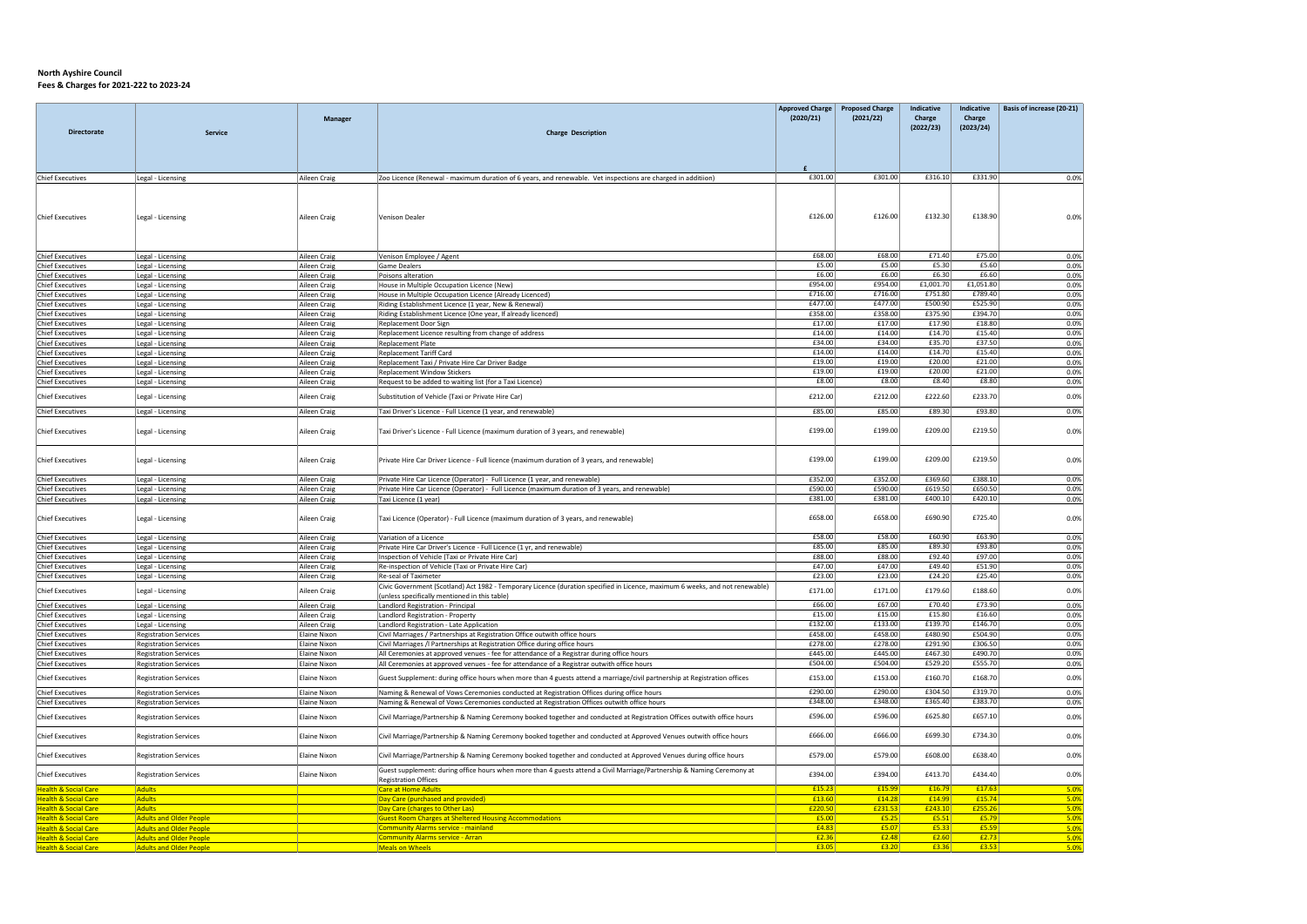|                                                                    |                                        |                              |                                                                                                                              | <b>Approved Charge</b> | <b>Proposed Charge</b> | Indicative         | Indicative         | Basis of increase (20-21) |
|--------------------------------------------------------------------|----------------------------------------|------------------------------|------------------------------------------------------------------------------------------------------------------------------|------------------------|------------------------|--------------------|--------------------|---------------------------|
|                                                                    |                                        | Manager                      |                                                                                                                              | (2020/21)              | (2021/22)              | Charge             | Charge             |                           |
| <b>Directorate</b>                                                 | Service                                |                              | <b>Charge Description</b>                                                                                                    |                        |                        | (2022/23)          | (2023/24)          |                           |
|                                                                    |                                        |                              |                                                                                                                              |                        |                        |                    |                    |                           |
|                                                                    |                                        |                              |                                                                                                                              |                        |                        |                    |                    |                           |
|                                                                    |                                        |                              |                                                                                                                              |                        |                        |                    |                    |                           |
| <b>Chief Executives</b>                                            | Legal - Licensing                      | Aileen Craig                 | Zoo Licence (Renewal - maximum duration of 6 years, and renewable. Vet inspections are charged in additiion)                 | £301.00                | £301.00                | £316.10            | £331.90            | 0.0%                      |
|                                                                    |                                        |                              |                                                                                                                              |                        |                        |                    |                    |                           |
|                                                                    |                                        |                              |                                                                                                                              |                        |                        |                    |                    |                           |
| <b>Chief Executives</b>                                            | Legal - Licensing                      | Aileen Craig                 | Venison Dealer                                                                                                               | £126.00                | £126.00                | £132.30            | £138.90            | 0.0%                      |
|                                                                    |                                        |                              |                                                                                                                              |                        |                        |                    |                    |                           |
|                                                                    |                                        |                              |                                                                                                                              |                        |                        |                    |                    |                           |
| <b>Chief Executives</b>                                            | Legal - Licensing                      | Aileen Craig                 | Venison Employee / Agent                                                                                                     | £68.00                 | £68.00                 | £71.40             | £75.00             | 0.0%                      |
| <b>Chief Executives</b>                                            | Legal - Licensing                      | Aileen Craig                 | <b>Game Dealers</b>                                                                                                          | £5.00                  | £5.00                  | £5.30              | £5.60              | 0.0%                      |
| <b>Chief Executives</b>                                            | Legal - Licensing                      | Aileen Craig                 | Poisons alteration                                                                                                           | £6.00                  | £6.00                  | £6.30              | £6.60              | 0.0%                      |
| <b>Chief Executives</b>                                            | Legal - Licensing                      | Aileen Craig                 | House in Multiple Occupation Licence (New)                                                                                   | £954.00                | £954.00                | £1,001.70          | £1,051.80          | 0.0%                      |
| <b>Chief Executives</b>                                            | Legal - Licensing                      | Aileen Craig                 | House in Multiple Occupation Licence (Already Licenced)                                                                      | £716.00                | £716.00                | £751.80            | £789.40            | 0.0%                      |
| <b>Chief Executives</b><br><b>Chief Executives</b>                 | Legal - Licensing<br>Legal - Licensing | Aileen Craig<br>Aileen Craig | Riding Establishment Licence (1 year, New & Renewal)<br>Riding Establishment Licence (One year, If already licenced)         | £477.00<br>£358.00     | £477.00<br>£358.00     | £500.90<br>£375.90 | £525.90<br>£394.70 | 0.0%<br>0.0%              |
| <b>Chief Executives</b>                                            | Legal - Licensing                      | Aileen Craig                 | Replacement Door Sign                                                                                                        | £17.00                 | £17.00                 | £17.90             | £18.80             | 0.0%                      |
| <b>Chief Executives</b>                                            | Legal - Licensing                      | Aileen Craig                 | Replacement Licence resulting from change of address                                                                         | £14.00                 | £14.00                 | £14.70             | £15.40             | 0.0%                      |
| <b>Chief Executives</b>                                            | Legal - Licensing                      | <b>Aileen Craig</b>          | <b>Replacement Plate</b>                                                                                                     | £34.00                 | £34.00                 | £35.70             | £37.50             | 0.0%                      |
| <b>Chief Executives</b>                                            | Legal - Licensing                      | Aileen Craig                 | <b>Replacement Tariff Card</b>                                                                                               | £14.00                 | £14.00                 | £14.70             | £15.40             | 0.0%                      |
| <b>Chief Executives</b>                                            | Legal - Licensing                      | Aileen Craig                 | Replacement Taxi / Private Hire Car Driver Badge                                                                             | £19.00                 | £19.00                 | £20.00             | £21.00             | 0.0%                      |
| <b>Chief Executives</b><br><b>Chief Executives</b>                 | Legal - Licensing<br>Legal - Licensing | Aileen Craig<br>Aileen Craig | <b>Replacement Window Stickers</b><br>Request to be added to waiting list (for a Taxi Licence)                               | £19.00<br>£8.00        | £19.00<br>£8.00        | £20.00<br>£8.40    | £21.00<br>£8.80    | 0.0%<br>0.0%              |
|                                                                    |                                        |                              |                                                                                                                              |                        |                        |                    |                    |                           |
| <b>Chief Executives</b>                                            | Legal - Licensing                      | Aileen Craig                 | Substitution of Vehicle (Taxi or Private Hire Car)                                                                           | £212.00                | £212.00                | £222.60            | £233.70            | 0.0%                      |
| <b>Chief Executives</b>                                            | Legal - Licensing                      | Aileen Craig                 | Taxi Driver's Licence - Full Licence (1 year, and renewable)                                                                 | £85.00                 | £85.00                 | £89.30             | £93.80             | 0.0%                      |
|                                                                    |                                        |                              |                                                                                                                              |                        |                        |                    |                    |                           |
| <b>Chief Executives</b>                                            | Legal - Licensing                      | Aileen Craig                 | Taxi Driver's Licence - Full Licence (maximum duration of 3 years, and renewable)                                            | £199.00                | £199.00                | £209.00            | £219.50            | 0.0%                      |
|                                                                    |                                        |                              |                                                                                                                              |                        |                        |                    |                    |                           |
| <b>Chief Executives</b>                                            | Legal - Licensing                      | Aileen Craig                 | Private Hire Car Driver Licence - Full licence (maximum duration of 3 years, and renewable)                                  | £199.00                | £199.00                | £209.00            | £219.50            | 0.0%                      |
|                                                                    |                                        |                              |                                                                                                                              |                        |                        |                    |                    |                           |
| <b>Chief Executives</b>                                            | Legal - Licensing                      | Aileen Craig                 | Private Hire Car Licence (Operator) - Full Licence (1 year, and renewable)                                                   | £352.00                | £352.00                | £369.60            | £388.10            | 0.0%                      |
| <b>Chief Executives</b><br><b>Chief Executives</b>                 | Legal - Licensing                      | Aileen Craig                 | Private Hire Car Licence (Operator) - Full Licence (maximum duration of 3 years, and renewable)<br>Taxi Licence (1 year)     | £590.00<br>£381.00     | £590.00<br>£381.00     | £619.50<br>£400.10 | £650.50<br>£420.10 | 0.0%                      |
|                                                                    | Legal - Licensing                      | Aileen Craig                 |                                                                                                                              |                        |                        |                    |                    | 0.0%                      |
| <b>Chief Executives</b>                                            | Legal - Licensing                      | Aileen Craig                 | Taxi Licence (Operator) - Full Licence (maximum duration of 3 years, and renewable)                                          | £658.00                | £658.00                | £690.90            | £725.40            | 0.0%                      |
|                                                                    |                                        |                              |                                                                                                                              |                        |                        |                    |                    |                           |
| <b>Chief Executives</b>                                            | Legal - Licensing                      | Aileen Craig                 | Variation of a Licence                                                                                                       | £58.00                 | £58.00                 | £60.90             | £63.90             | 0.0%                      |
| <b>Chief Executives</b><br><b>Chief Executives</b>                 | Legal - Licensing                      | Aileen Craig<br>Aileen Craig | Private Hire Car Driver's Licence - Full Licence (1 yr, and renewable)<br>Inspection of Vehicle (Taxi or Private Hire Car)   | £85.00<br>£88.00       | £85.00<br>£88.00       | £89.30<br>£92.40   | £93.80<br>£97.00   | 0.0%<br>0.0%              |
| <b>Chief Executives</b>                                            | Legal - Licensing<br>Legal - Licensing | Aileen Craig                 | Re-inspection of Vehicle (Taxi or Private Hire Car)                                                                          | £47.00                 | £47.00                 | £49.40             | £51.90             | 0.0%                      |
| <b>Chief Executives</b>                                            | Legal - Licensing                      | Aileen Craig                 | Re-seal of Taximeter                                                                                                         | £23.00                 | £23.00                 | £24.20             | £25.40             | 0.0%                      |
| <b>Chief Executives</b>                                            | Legal - Licensing                      | Aileen Craig                 | Civic Government (Scotland) Act 1982 - Temporary Licence (duration specified in Licence, maximum 6 weeks, and not renewable) | £171.00                | £171.00                | £179.60            | £188.60            | 0.0%                      |
|                                                                    |                                        |                              | (unless specifically mentioned in this table)                                                                                |                        |                        |                    |                    |                           |
| <b>Chief Executives</b><br><b>Chief Executives</b>                 | Legal - Licensing                      | <b>Aileen Craig</b>          | Landlord Registration - Principal                                                                                            | £66.00<br>£15.00       | £67.00<br>£15.00       | £70.40<br>£15.80   | £73.90<br>£16.60   | 0.0%                      |
| <b>Chief Executives</b>                                            | Legal - Licensing<br>Legal - Licensing | Aileen Craig<br>Aileen Craig | Landlord Registration - Property<br>Landlord Registration - Late Application                                                 | £132.00                | £133.00                | £139.70            | £146.70            | 0.0%<br>0.0%              |
| <b>Chief Executives</b>                                            | <b>Registration Services</b>           | <b>Elaine Nixon</b>          | Civil Marriages / Partnerships at Registration Office outwith office hours                                                   | £458.00                | £458.00                | £480.90            | £504.90            | 0.0%                      |
| <b>Chief Executives</b>                                            | <b>Registration Services</b>           | <b>Elaine Nixon</b>          | Civil Marriages /I Partnerships at Registration Office during office hours                                                   | £278.00                | £278.00                | £291.90            | £306.50            | 0.0%                      |
| <b>Chief Executives</b>                                            | <b>Registration Services</b>           | <b>Elaine Nixon</b>          | All Ceremonies at approved venues - fee for attendance of a Registrar during office hours                                    | £445.00                | £445.00                | £467.30            | £490.70            | 0.0%                      |
| Chief Executives                                                   | <b>Registration Services</b>           | Flaine Nixon                 | All Ceremonies at approved venues - fee for attendance of a Registrar outwith office hours                                   | £504.00                | £504.00                | £529.20            | £555.70            | 0.0%                      |
| <b>Chief Executives</b>                                            | <b>Registration Services</b>           | <b>Elaine Nixon</b>          | Guest Supplement: during office hours when more than 4 guests attend a marriage/civil partnership at Registration offices    | £153.00                | £153.00                | £160.70            | £168.70            | 0.0%                      |
| <b>Chief Executives</b>                                            | <b>Registration Services</b>           | <b>Elaine Nixon</b>          | Naming & Renewal of Vows Ceremonies conducted at Registration Offices during office hours                                    | £290.00                | £290.00                | £304.50            | £319.70            | 0.0%                      |
| <b>Chief Executives</b>                                            | <b>Registration Services</b>           | <b>Elaine Nixon</b>          | Naming & Renewal of Vows Ceremonies conducted at Registration Offices outwith office hours                                   | £348.00                | £348.00                | £365.40            | £383.70            | 0.0%                      |
| <b>Chief Executives</b>                                            | <b>Registration Services</b>           | <b>Elaine Nixon</b>          | Civil Marriage/Partnership & Naming Ceremony booked together and conducted at Registration Offices outwith office hours      | £596.00                | £596.00                | £625.80            | £657.10            | 0.0%                      |
|                                                                    |                                        |                              |                                                                                                                              |                        |                        |                    |                    |                           |
| <b>Chief Executives</b>                                            | <b>Registration Services</b>           | <b>Elaine Nixon</b>          | Civil Marriage/Partnership & Naming Ceremony booked together and conducted at Approved Venues outwith office hours           | £666.00                | £666.00                | £699.30            | £734.30            | 0.0%                      |
|                                                                    |                                        |                              |                                                                                                                              |                        |                        |                    |                    |                           |
| <b>Chief Executives</b>                                            | <b>Registration Services</b>           | <b>Elaine Nixon</b>          | Civil Marriage/Partnership & Naming Ceremony booked together and conducted at Approved Venues during office hours            | £579.00                | £579.00                | £608.00            | £638.40            | 0.0%                      |
| <b>Chief Executives</b>                                            | <b>Registration Services</b>           | Elaine Nixon                 | Guest supplement: during office hours when more than 4 guests attend a Civil Marriage/Partnership & Naming Ceremony at       | £394.00                | £394.00                | £413.70            | £434.40            | 0.0%                      |
|                                                                    |                                        |                              | <b>Registration Offices</b>                                                                                                  |                        |                        |                    |                    |                           |
| <b>Health &amp; Social Care</b><br><b>Health &amp; Social Care</b> | Adults<br>Adults                       |                              | <b>Care at Home Adults</b><br>Day Care (purchased and provided)                                                              | £15.23<br>£13.60       | £15.99<br>£14.28       | £16.79<br>£14.99   | £17.63<br>£15.74   | 5.0%<br>5.0%              |
| <b>Health &amp; Social Care</b>                                    | <b>Adults</b>                          |                              | Day Care (charges to Other Las)                                                                                              | £220.50                | £231.53                | £243.10            | £255.26            | 5.0%                      |
| <b>Health &amp; Social Care</b>                                    | <b>Adults and Older People</b>         |                              | <b>Guest Room Charges at Sheltered Housing Accommodations</b>                                                                | £5.00                  | E5.25                  | £5.51              | £5.79              | 5.0%                      |
| <b>Health &amp; Social Care</b>                                    | <b>Adults and Older People</b>         |                              | <b>Community Alarms service - mainland</b>                                                                                   | £4.83                  | £5.07                  | £5.33              | £5.59              | 5.0%                      |
| <b>Health &amp; Social Care</b>                                    | <b>Adults and Older People</b>         |                              | Community Alarms service - Arran                                                                                             | £2.36                  | £2.48                  | £2.60              | £2.73              | 5.0%                      |
| <b>Health &amp; Social Care</b>                                    | <b>Adults and Older People</b>         |                              | <b>Meals on Wheels</b>                                                                                                       | £3.05                  | £3.20                  | £3.36              | £3.53              | 5.0%                      |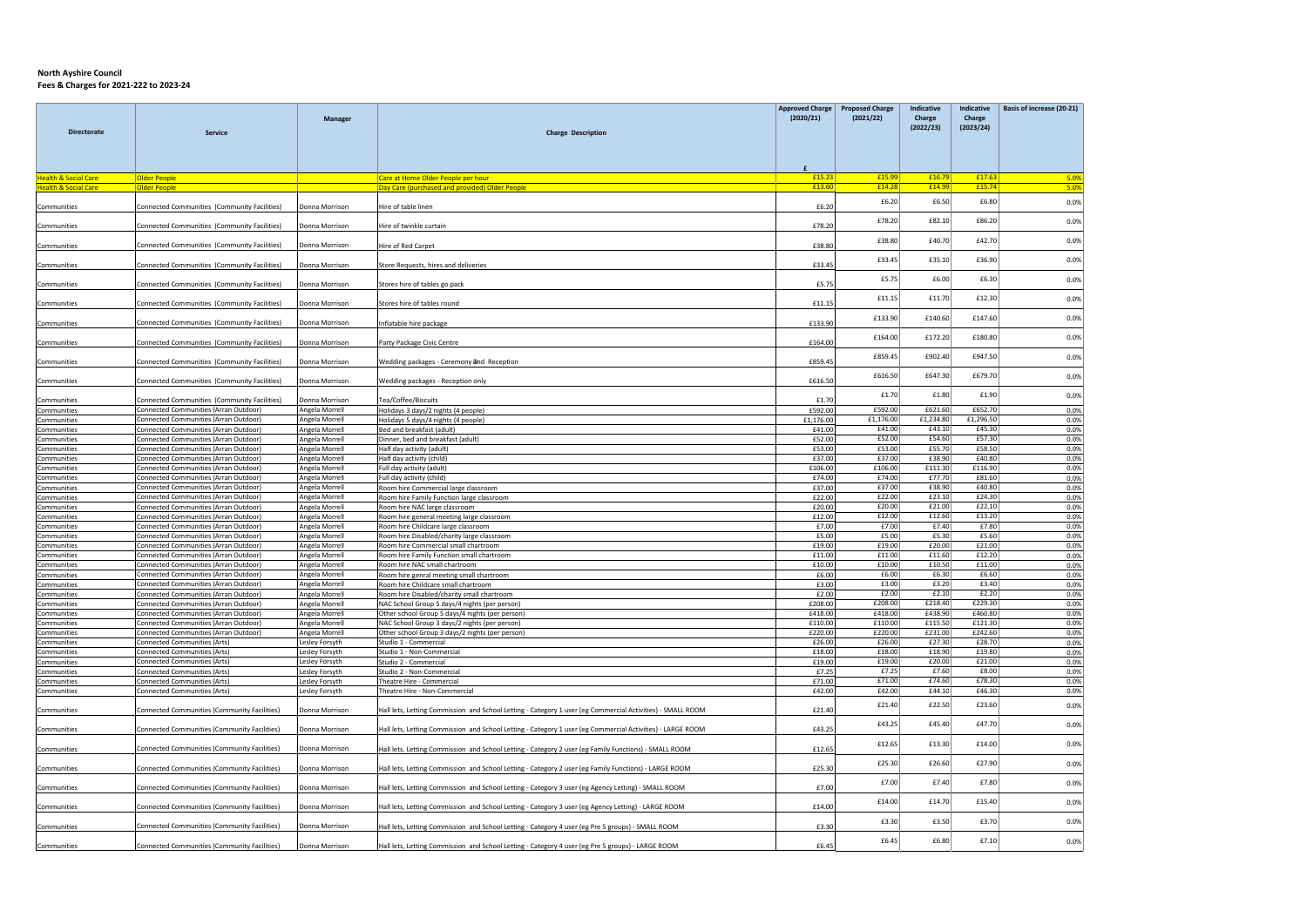|                                 |                                              |                |                                                                                                            | <b>Approved Charge</b> | <b>Proposed Charge</b> | Indicative          | <b>Indicative</b>   | Basis of increase (20-21) |
|---------------------------------|----------------------------------------------|----------------|------------------------------------------------------------------------------------------------------------|------------------------|------------------------|---------------------|---------------------|---------------------------|
| <b>Directorate</b>              | <b>Service</b>                               | Manager        | <b>Charge Description</b>                                                                                  | (2020/21)              | (2021/22)              | Charge<br>(2022/23) | Charge<br>(2023/24) |                           |
|                                 |                                              |                |                                                                                                            |                        |                        |                     |                     |                           |
|                                 |                                              |                |                                                                                                            |                        |                        |                     |                     |                           |
| <b>Health &amp; Social Care</b> | <b>Older People</b>                          |                | Care at Home Older People per hour                                                                         | £15.23                 | £15.99                 | £16.79              | £17.63              | 5.0%                      |
| <b>Health &amp; Social Care</b> | <b>Older People</b>                          |                | Day Care (purchased and provided) Older People                                                             | £13.60                 | £14.28                 | £14.99              | £15.74              | 5.0%                      |
| Communities                     | Connected Communities (Community Facilities) | Donna Morrison | Hire of table linen                                                                                        | £6.20                  | £6.20                  | £6.50               | £6.80               | 0.0%                      |
| Communities                     | Connected Communities (Community Facilities) | Donna Morrison | Hire of twinkle curtain                                                                                    | £78.20                 | £78.20                 | £82.10              | £86.20              | 0.0%                      |
| Communities                     | Connected Communities (Community Facilities) | Donna Morrison | Hire of Red Carpet                                                                                         | £38.80                 | £38.80                 | £40.70              | £42.70              | 0.0%                      |
| Communities                     | Connected Communities (Community Facilities) | Donna Morrisor | Store Requests, hires and deliveries                                                                       | £33.45                 | £33.45                 | £35.10              | £36.90              | 0.0%                      |
| Communities                     | Connected Communities (Community Facilities) | Donna Morrison | Stores hire of tables go pack                                                                              | £5.75                  | £5.75                  | £6.00               | £6.30               | 0.0%                      |
| Communities                     | Connected Communities (Community Facilities) | Donna Morrison | Stores hire of tables round                                                                                | £11.15                 | £11.15                 | £11.70              | £12.30              | 0.0%                      |
|                                 |                                              |                |                                                                                                            |                        | £133.90                | £140.60             | £147.60             | 0.0%                      |
| Communities                     | Connected Communities (Community Facilities) | Donna Morrison | Inflatable hire package                                                                                    | £133.90                |                        |                     |                     |                           |
| Communities                     | Connected Communities (Community Facilities) | Donna Morrison | Party Package Civic Centre                                                                                 | £164.00                | £164.00                | £172.20             | £180.80             | 0.0%                      |
| Communities                     | Connected Communities (Community Facilities) | Donna Morrison | Wedding packages - Ceremony and Reception                                                                  | £859.45                | £859.45                | £902.40             | £947.50             | 0.0%                      |
| Communities                     | Connected Communities (Community Facilities) | Donna Morrison | Wedding packages - Reception only                                                                          | £616.50                | £616.50                | £647.30             | £679.70             | 0.0%                      |
| Communities                     | Connected Communities (Community Facilities) | Donna Morrison | Tea/Coffee/Biscuits                                                                                        | £1.70                  | £1.70                  | £1.80               | £1.90               | 0.0%                      |
| Communities                     | Connected Communities (Arran Outdoor)        | Angela Morrell | Holidays 3 days/2 nights (4 people)                                                                        | £592.00                | £592.00                | £621.60             | £652.70             | 0.0%                      |
| Communities                     | Connected Communities (Arran Outdoor)        | Angela Morrell | Holidays 5 days/4 nights (4 people)                                                                        | £1,176.00              | £1,176.00              | £1,234.80           | £1,296.50           | 0.0%                      |
| Communities                     | Connected Communities (Arran Outdoor)        | Angela Morrell | Bed and breakfast (adult)                                                                                  | £41.00                 | £41.00                 | £43.10              | £45.30              | 0.0%                      |
| Communities                     | Connected Communities (Arran Outdoor)        | Angela Morrell | Dinner, bed and breakfast (adult)                                                                          | £52.00                 | £52.00                 | £54.60              | £57.30              | 0.0%                      |
| Communities                     | Connected Communities (Arran Outdoor)        | Angela Morrell | Half day activity (adult)                                                                                  | £53.00                 | £53.00                 | £55.70              | £58.50              | 0.0%                      |
| Communities                     | Connected Communities (Arran Outdoor)        | Angela Morrell | Half day activity (child)                                                                                  | £37.00                 | £37.00                 | £38.90              | £40.80              | 0.0%                      |
| Communities                     | Connected Communities (Arran Outdoor)        | Angela Morrell | Full day activity (adult)                                                                                  | £106.00                | £106.00                | £111.30             | £116.90             | 0.0%                      |
| Communities                     | Connected Communities (Arran Outdoor)        | Angela Morrell | Full day activity (child)                                                                                  | £74.00                 | £74.00                 | £77.70              | £81.60              | 0.0%                      |
| Communities                     | Connected Communities (Arran Outdoor         | Angela Morrell | Room hire Commercial large classroom                                                                       | £37.00                 | £37.00                 | £38.90              | £40.80              | 0.0%                      |
| Communities                     | Connected Communities (Arran Outdoor)        | Angela Morrell | Room hire Family Function large classroom                                                                  | £22.00                 | £22.00                 | £23.10              | £24.30              | 0.0%                      |
| Communities                     | Connected Communities (Arran Outdoor         | Angela Morrell | Room hire NAC large classroom                                                                              | £20.00                 | £20.00                 | £21.00              | £22.10              | 0.0%                      |
| Communities                     | Connected Communities (Arran Outdoor)        | Angela Morrell | Room hire general meeting large classroom                                                                  | £12.00                 | £12.00                 | £12.60              | £13.20              | 0.0%                      |
| Communities                     | Connected Communities (Arran Outdoor)        | Angela Morrell | Room hire Childcare large classroom                                                                        | £7.00                  | £7.00                  | £7.40               | £7.80               | 0.0%                      |
| Communities                     | Connected Communities (Arran Outdoor)        | Angela Morrell | Room hire Disabled/charity large classroom                                                                 | £5.00                  | £5.00                  | £5.30               | £5.60               | 0.0%                      |
| Communities                     | Connected Communities (Arran Outdoor)        | Angela Morrell | Room hire Commercial small chartroom                                                                       | £19.00                 | £19.00                 | £20.00              | £21.00              | 0.0%                      |
| Communities                     | Connected Communities (Arran Outdoor)        | Angela Morrell | Room hire Family Function small chartroom                                                                  | £11.00                 | £11.00                 | £11.60              | £12.20              | 0.0%                      |
| Communities                     | Connected Communities (Arran Outdoor)        | Angela Morrell | Room hire NAC small chartroom                                                                              | £10.00                 | £10.00                 | £10.50              | £11.00              | 0.0%                      |
| Communities                     | Connected Communities (Arran Outdoor)        | Angela Morrell | Room hire genral meeting small chartroom                                                                   | £6.00                  | £6.00                  | £6.30               | £6.60               | 0.0%                      |
| Communities                     | Connected Communities (Arran Outdoor)        | Angela Morrell | Room hire Childcare small chartroom                                                                        | £3.00                  | £3.00                  | £3.20               | £3.40               | 0.0%                      |
| Communities                     | Connected Communities (Arran Outdoor)        | Angela Morrell | Room hire Disabled/charity small chartroom                                                                 | £2.00                  | £2.00                  | £2.10               | £2.20               | 0.0%                      |
| Communities                     | Connected Communities (Arran Outdoor)        | Angela Morrell | NAC School Group 5 days/4 nights (per person)                                                              | £208.00                | £208.00                | £218.40             | £229.30             | 0.0%                      |
| Communities                     | Connected Communities (Arran Outdoor)        | Angela Morrell | Other school Group 5 days/4 nights (per person)                                                            | £418.00                | £418.00                | £438.90             | £460.80             | 0.0%                      |
| Communities                     | Connected Communities (Arran Outdoor)        | Angela Morrell | NAC School Group 3 days/2 nights (per person)                                                              | £110.00                | £110.00                | £115.50             | £121.30             | 0.0%                      |
| Communities                     | Connected Communities (Arran Outdoor)        | Angela Morrell | Other school Group 3 days/2 nights (per person)                                                            | £220.00                | £220.00                | £231.00             | £242.60             | 0.0%                      |
| Communities                     | <b>Connected Communities (Arts)</b>          | Lesley Forsyth | Studio 1 - Commercial                                                                                      | £26.00                 | £26.00                 | £27.30              | £28.70              | 0.0%                      |
| Communities                     | <b>Connected Communities (Arts)</b>          | Lesley Forsyth | Studio 1 - Non-Commercial                                                                                  | £18.00                 | £18.00                 | £18.90              | £19.80              | 0.0%                      |
| Communities                     | <b>Connected Communities (Arts)</b>          | Lesley Forsyth | Studio 2 - Commercial                                                                                      | £19.00                 | £19.00                 | £20.00              | £21.00              | 0.0%                      |
| Communities                     | <b>Connected Communities (Arts)</b>          | Lesley Forsyth | Studio 2 - Non-Commercial                                                                                  | £7.25                  | £7.25                  | £7.60               | £8.00               | 0.0%                      |
| Communities                     | Connected Communities (Arts)                 | Lesley Forsyth | Theatre Hire - Commercial                                                                                  | £71.00                 | £71.00                 | £74.60              | £78.30              | 0.0%                      |
| Communities                     | <b>Connected Communities (Arts)</b>          | Lesley Forsyth | Theatre Hire - Non-Commercial                                                                              | £42.00                 | £42.00                 | £44.10              | £46.30              | 0.0%                      |
| Communities                     | Connected Communities (Community Facilities) | Donna Morrison | Hall lets, Letting Commission and School Letting - Category 1 user (eg Commercial Activities) - SMALL ROOM | £21.40                 | £21.40                 | £22.50              | £23.60              | 0.0%                      |
|                                 |                                              |                |                                                                                                            |                        | £43.25                 | £45.40              | £47.70              | 0.0%                      |
| Communities                     | Connected Communities (Community Facilities) | Donna Morrison | Hall lets, Letting Commission and School Letting - Category 1 user (eg Commercial Activities) - LARGE ROOM | £43.25                 |                        |                     |                     |                           |
| Communities                     | Connected Communities (Community Facilities) | Donna Morrison | Hall lets, Letting Commission and School Letting - Category 2 user (eg Family Functions) - SMALL ROOM      | £12.65                 | £12.65                 | £13.30              | £14.00              | 0.0%                      |
| Communities                     | Connected Communities (Community Facilities) | Donna Morrison | Hall lets, Letting Commission and School Letting - Category 2 user (eg Family Functions) - LARGE ROOM      | £25.30                 | £25.30                 | £26.60              | £27.90              | 0.0%                      |
| Communities                     | Connected Communities (Community Facilities) | Donna Morrison | Hall lets, Letting Commission and School Letting - Category 3 user (eg Agency Letting) - SMALL ROOM        | £7.00                  | £7.00                  | £7.40               | £7.80               | 0.0%                      |
| Communities                     | Connected Communities (Community Facilities) | Donna Morrison | Hall lets, Letting Commission and School Letting - Category 3 user (eg Agency Letting) - LARGE ROOM        | £14.00                 | £14.00                 | £14.70              | £15.40              | 0.0%                      |
| Communities                     | Connected Communities (Community Facilities) | Donna Morrison | Hall lets, Letting Commission and School Letting - Category 4 user (eg Pre 5 groups) - SMALL ROOM          | £3.30                  | £3.30                  | £3.50               | £3.70               | 0.0%                      |
| Communities                     | Connected Communities (Community Facilities) | Donna Morrison | Hall lets, Letting Commission and School Letting - Category 4 user (eg Pre 5 groups) - LARGE ROOM          | £6.45                  | £6.45                  | £6.80               | £7.10               | 0.0%                      |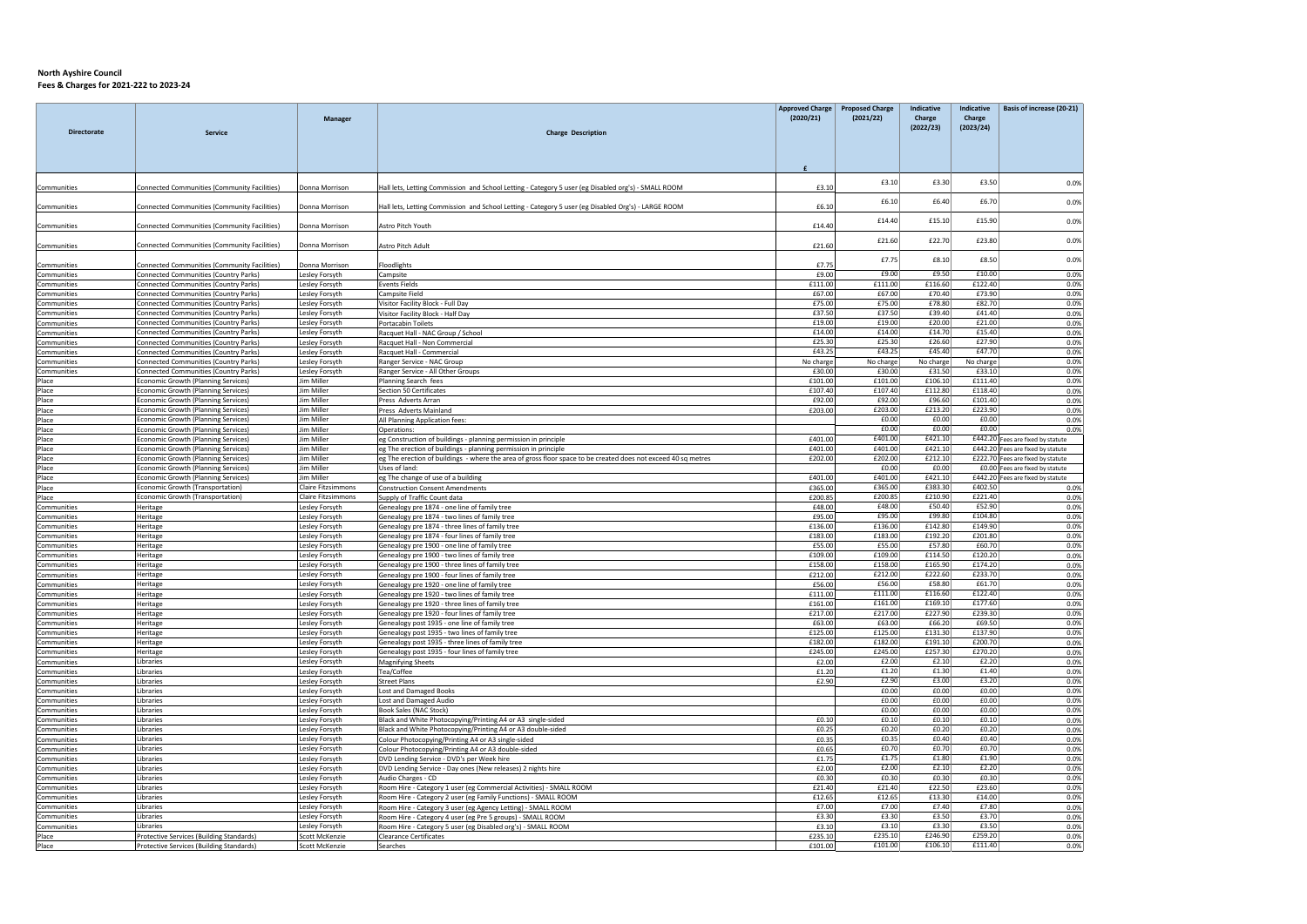|                            |                                                                                      | Manager                          |                                                                                                               | <b>Approved Charge</b><br>(2020/21) | <b>Proposed Charge</b><br>(2021/22) | <b>Indicative</b><br>Charge | Indicative<br>Charge | Basis of increase (20-21)         |
|----------------------------|--------------------------------------------------------------------------------------|----------------------------------|---------------------------------------------------------------------------------------------------------------|-------------------------------------|-------------------------------------|-----------------------------|----------------------|-----------------------------------|
| <b>Directorate</b>         | Service                                                                              |                                  | <b>Charge Description</b>                                                                                     |                                     |                                     | (2022/23)                   | (2023/24)            |                                   |
|                            |                                                                                      |                                  |                                                                                                               |                                     |                                     |                             |                      |                                   |
|                            |                                                                                      |                                  |                                                                                                               | $\mathbf{f}$                        |                                     |                             |                      |                                   |
| Communities                | Connected Communities (Community Facilities)                                         | Donna Morrison                   | Hall lets, Letting Commission and School Letting - Category 5 user (eg Disabled org's) - SMALL ROOM           | £3.10                               | £3.10                               | £3.30                       | £3.50                | 0.0%                              |
| Communities                | Connected Communities (Community Facilities)                                         | Donna Morrison                   | Hall lets, Letting Commission and School Letting - Category 5 user (eg Disabled Org's) - LARGE ROOM           | £6.10                               | £6.10                               | £6.40                       | £6.70                | 0.0%                              |
| Communities                | Connected Communities (Community Facilities)                                         | Donna Morrison                   | Astro Pitch Youth                                                                                             | £14.40                              | £14.40                              | £15.10                      | £15.90               | 0.0%                              |
| Communities                | Connected Communities (Community Facilities)                                         | Donna Morrison                   | Astro Pitch Adult                                                                                             | £21.60                              | £21.60                              | £22.70                      | £23.80               | 0.0%                              |
| Communities                | Connected Communities (Community Facilities)                                         | Donna Morrison                   | loodlights                                                                                                    | £7.7                                | £7.75                               | £8.10                       | £8.50                | 0.0%                              |
| Communities                | <b>Connected Communities (Country Parks)</b>                                         | Lesley Forsyth                   | Campsite                                                                                                      | £9.00                               | £9.00                               | £9.50                       | £10.00               | 0.0%                              |
| Communities                | <b>Connected Communities (Country Parks)</b>                                         | Lesley Forsyth                   | <b>Events Fields</b>                                                                                          | £111.00                             | £111.00                             | £116.60                     | £122.40              | 0.0%                              |
| Communities                | Connected Communities (Country Parks)                                                | Lesley Forsyth                   | Campsite Field                                                                                                | £67.0                               | £67.00                              | £70.40                      | £73.90               | 0.0%                              |
| Communities                | <b>Connected Communities (Country Parks)</b>                                         | Lesley Forsyth                   | Visitor Facility Block - Full Day                                                                             | £75.00                              | £75.00                              | £78.80                      | £82.70               | 0.0%                              |
| Communities                | Connected Communities (Country Parks)                                                | Lesley Forsyth                   | Visitor Facility Block - Half Day                                                                             | £37.50                              | £37.50                              | £39.40                      | £41.40               | 0.0%                              |
| Communities                | Connected Communities (Country Parks)                                                | Lesley Forsyth                   | Portacabin Toilets                                                                                            | £19.0                               | £19.00                              | £20.00                      | £21.00               | 0.0%                              |
| Communities                | Connected Communities (Country Parks)                                                | Lesley Forsyth                   | Racquet Hall - NAC Group / School                                                                             | £14.00                              | £14.00                              | £14.70                      | £15.40               | 0.0%                              |
| Communities                | <b>Connected Communities (Country Parks)</b>                                         | Lesley Forsyth                   | Racquet Hall - Non Commercial                                                                                 | £25.30                              | £25.30                              | £26.60                      | £27.90               | 0.0%                              |
| Communities                | Connected Communities (Country Parks)                                                | Lesley Forsyth                   | Racquet Hall - Commercial                                                                                     | £43.2                               | £43.25                              | £45.40                      | £47.70               | 0.0%                              |
| Communities                | Connected Communities (Country Parks)                                                | Lesley Forsyth                   | Ranger Service - NAC Group                                                                                    | No charge                           | No charge                           | No charge                   | No charge            | 0.0%                              |
| Communities                | Connected Communities (Country Parks)                                                | Lesley Forsyth                   | Ranger Service - All Other Groups                                                                             | £30.00                              | £30.00<br>£101.00                   | £31.50<br>£106.10           | £33.10<br>£111.40    | 0.0%                              |
| Place                      | Economic Growth (Planning Services)                                                  | Jim Miller<br>Jim Miller         | Planning Search fees                                                                                          | £101.00<br>£107.4                   | £107.40                             | £112.80                     | £118.40              | 0.0%                              |
| Place<br>Place             | Economic Growth (Planning Services)<br>Economic Growth (Planning Services)           | lim Miller                       | Section 50 Certificates<br>Press Adverts Arran                                                                | £92.0                               | £92.00                              | £96.60                      | £101.40              | 0.0%<br>0.0%                      |
| Place                      | Economic Growth (Planning Services)                                                  | Jim Miller                       | Press Adverts Mainland                                                                                        | £203.0                              | £203.00                             | £213.20                     | £223.90              | 0.0%                              |
| Place                      | Economic Growth (Planning Services)                                                  | Jim Miller                       | All Planning Application fees:                                                                                |                                     | £0.00                               | £0.00                       | £0.00                | 0.0%                              |
| Place                      | Economic Growth (Planning Services)                                                  | Jim Miller                       | Operations:                                                                                                   |                                     | £0.00                               | £0.00                       | £0.00                | 0.0%                              |
| Place                      | Economic Growth (Planning Services)                                                  | Jim Miller                       | eg Construction of buildings - planning permission in principle                                               | £401.00                             | £401.00                             | £421.10                     |                      | £442.20 Fees are fixed by statute |
| Place                      | Economic Growth (Planning Services)                                                  | Jim Miller                       | eg The erection of buildings - planning permission in principle                                               | £401.00                             | £401.00                             | £421.10                     |                      | £442.20 Fees are fixed by statute |
| Place                      | Economic Growth (Planning Services)                                                  | Jim Miller                       | eg The erection of buildings - where the area of gross floor space to be created does not exceed 40 sq metres | £202.00                             | £202.00                             | £212.10                     |                      | £222.70 Fees are fixed by statute |
| Place                      | Economic Growth (Planning Services)                                                  | Jim Miller                       | Uses of land:                                                                                                 |                                     | £0.00                               | £0.00                       |                      | £0.00 Fees are fixed by statute   |
| Place                      | Economic Growth (Planning Services)                                                  | Jim Miller                       | eg The change of use of a building                                                                            | £401.00                             | £401.00                             | £421.10                     |                      | £442.20 Fees are fixed by statute |
| Place                      | Economic Growth (Transportation)                                                     | Claire Fitzsimmons               | <b>Construction Consent Amendments</b>                                                                        | £365.00                             | £365.00                             | £383.30                     | £402.50              | 0.0%                              |
| Place                      | <b>Economic Growth (Transportation)</b>                                              | Claire Fitzsimmons               | Supply of Traffic Count data                                                                                  | £200.85                             | £200.85                             | £210.90                     | £221.40              | 0.0%                              |
| Communities                | Heritage                                                                             | Lesley Forsyth                   | Genealogy pre 1874 - one line of family tree                                                                  | £48.00                              | £48.00<br>£95.00                    | £50.40<br>£99.80            | £52.90<br>£104.80    | 0.0%                              |
| Communities                | Heritage                                                                             | Lesley Forsyth                   | Genealogy pre 1874 - two lines of family tree                                                                 | £95.0                               | £136.00                             |                             | £149.90              | 0.0%                              |
| Communities<br>Communities | Heritage<br>Heritage                                                                 | Lesley Forsyth<br>Lesley Forsyth | Genealogy pre 1874 - three lines of family tree<br>Genealogy pre 1874 - four lines of family tree             | £136.00<br>£183.00                  | £183.00                             | £142.80<br>£192.20          | £201.80              | 0.0%<br>0.0%                      |
| Communities                | Heritage                                                                             | Lesley Forsyth                   | Genealogy pre 1900 - one line of family tree                                                                  | £55.00                              | £55.00                              | £57.80                      | £60.70               | 0.0%                              |
| Communities                | Heritage                                                                             | Lesley Forsyth                   | Genealogy pre 1900 - two lines of family tree                                                                 | £109.0                              | £109.00                             | £114.50                     | £120.20              | 0.0%                              |
| Communities                | Heritage                                                                             | Lesley Forsyth                   | Genealogy pre 1900 - three lines of family tree                                                               | £158.00                             | £158.00                             | £165.90                     | £174.20              | 0.0%                              |
| Communities                | Heritage                                                                             | Lesley Forsyth                   | Genealogy pre 1900 - four lines of family tree                                                                | £212.00                             | £212.00                             | £222.60                     | £233.70              | 0.0%                              |
| Communities                | Heritage                                                                             | Lesley Forsyth                   | Genealogy pre 1920 - one line of family tree                                                                  | £56.0                               | £56.00                              | £58.80                      | £61.70               | 0.0%                              |
| Communities                | Heritage                                                                             | Lesley Forsyth                   | Genealogy pre 1920 - two lines of family tree                                                                 | £111.00                             | £111.00                             | £116.60                     | £122.40              | 0.0%                              |
| Communities                | Heritage                                                                             | Lesley Forsyth                   | Genealogy pre 1920 - three lines of family tree                                                               | £161.00                             | £161.00                             | £169.10                     | £177.60              | 0.0%                              |
| Communities                | Heritage                                                                             | Lesley Forsyth                   | Genealogy pre 1920 - four lines of family tree                                                                | £217.00                             | £217.00                             | £227.90                     | £239.30              | 0.0%                              |
| Communities                | Heritage                                                                             | Lesley Forsyth                   | Genealogy post 1935 - one line of family tree                                                                 | £63.00                              | £63.00                              | £66.20                      | £69.50               | 0.0%                              |
| Communities                | Heritage                                                                             | Lesley Forsyth                   | Genealogy post 1935 - two lines of family tree                                                                | £125.00                             | £125.00                             | £131.30                     | £137.90              | 0.0%                              |
| Communities                | Heritage                                                                             | Lesley Forsyth                   | Genealogy post 1935 - three lines of family tree                                                              | £182.0                              | £182.00                             | £191.10                     | £200.70              | 0.0%                              |
| Communities                | Heritage                                                                             | Lesley Forsyth                   | Genealogy post 1935 - four lines of family tree                                                               | £245.00                             | £245.00                             | £257.30                     | £270.20              | 0.0%                              |
| Communities                | Libraries                                                                            | Lesley Forsyth                   | <b>Magnifying Sheets</b>                                                                                      | £2.00                               | £2.00                               | £2.10                       | £2.20                | 0.0%                              |
| Communities                | Libraries                                                                            | Leslev Forsyth                   | Tea/Coffee                                                                                                    | £1.20                               | £1.20<br>£2.90                      | £1.30<br>£3.00              | £1.40<br>£3.20       | 0.0%                              |
| Communities<br>Communities | Libraries<br>Libraries                                                               | Lesley Forsyth<br>Lesley Forsyth | <b>Street Plans</b><br><b>Lost and Damaged Books</b>                                                          | £2.90                               | £0.00                               | £0.00                       | £0.00                | 0.0%<br>0.0%                      |
| Communities                | Libraries                                                                            | Lesley Forsyth                   | Lost and Damaged Audio                                                                                        |                                     | f0.00                               | £0.00                       | £0.00                | 0.0%                              |
| Communities                | <b>Libraries</b>                                                                     | Lesley Forsyth                   | Book Sales (NAC Stock)                                                                                        |                                     | £0.00                               | £0.00                       | £0.00                | 0.0%                              |
| Communities                | Libraries                                                                            | Leslev Forsyth                   | Black and White Photocopying/Printing A4 or A3 single-sided                                                   | £0.10                               | £0.10                               | £0.10                       | £0.10                | 0.0%                              |
| Communities                | Libraries                                                                            | Leslev Forsyth                   | Black and White Photocopying/Printing A4 or A3 double-sided                                                   | £0.25                               | £0.20                               | £0.20                       | £0.20                | 0.0%                              |
| Communities                | Libraries                                                                            | Lesley Forsyth                   | Colour Photocopying/Printing A4 or A3 single-sided                                                            | £0.35                               | £0.35                               | £0.40                       | £0.40                | 0.0%                              |
| Communities                | Libraries                                                                            | Lesley Forsyth                   | Colour Photocopying/Printing A4 or A3 double-sided                                                            | £0.65                               | £0.70                               | £0.70                       | £0.70                | 0.0%                              |
| Communities                | Libraries                                                                            | Lesley Forsyth                   | DVD Lending Service - DVD's per Week hire                                                                     | £1.75                               | £1.75                               | £1.80                       | £1.90                | 0.0%                              |
| Communities                | Libraries                                                                            | Lesley Forsyth                   | DVD Lending Service - Day ones (New releases) 2 nights hire                                                   | £2.00                               | £2.00                               | £2.10                       | £2.20                | 0.0%                              |
| Communities                | <b>Libraries</b>                                                                     | Lesley Forsyth                   | Audio Charges - CD                                                                                            | £0.30                               | £0.30                               | £0.30                       | £0.30                | 0.0%                              |
| Communities                | Libraries                                                                            | Lesley Forsyth                   | Room Hire - Category 1 user (eg Commercial Activities) - SMALL ROOM                                           | £21.40                              | £21.40                              | £22.50                      | £23.60               | 0.0%                              |
| Communities                | Libraries                                                                            | Lesley Forsyth                   | Room Hire - Category 2 user (eg Family Functions) - SMALL ROOM                                                | £12.65                              | £12.65                              | £13.30                      | £14.00               | 0.0%                              |
| Communities                | Libraries                                                                            | Lesley Forsyth                   | Room Hire - Category 3 user (eg Agency Letting) - SMALL ROOM                                                  | £7.00                               | £7.00                               | £7.40                       | £7.80                | 0.0%                              |
| Communities                | Libraries                                                                            | Lesley Forsyth                   | Room Hire - Category 4 user (eg Pre 5 groups) - SMALL ROOM                                                    | £3.30                               | £3.30                               | £3.50                       | £3.70                | 0.0%                              |
| Communities<br>Place       | Libraries                                                                            | Lesley Forsyth<br>Scott McKenzie | Room Hire - Category 5 user (eg Disabled org's) - SMALL ROOM<br><b>Clearance Certificates</b>                 | £3.10<br>£235.10                    | £3.10<br>£235.10                    | £3.30<br>£246.90            | £3.50<br>£259.20     | 0.0%<br>0.0%                      |
| Place                      | Protective Services (Building Standards)<br>Protective Services (Building Standards) | Scott McKenzie                   | Searches                                                                                                      | £101.00                             | £101.00                             | £106.10                     | £111.40              | 0.0%                              |
|                            |                                                                                      |                                  |                                                                                                               |                                     |                                     |                             |                      |                                   |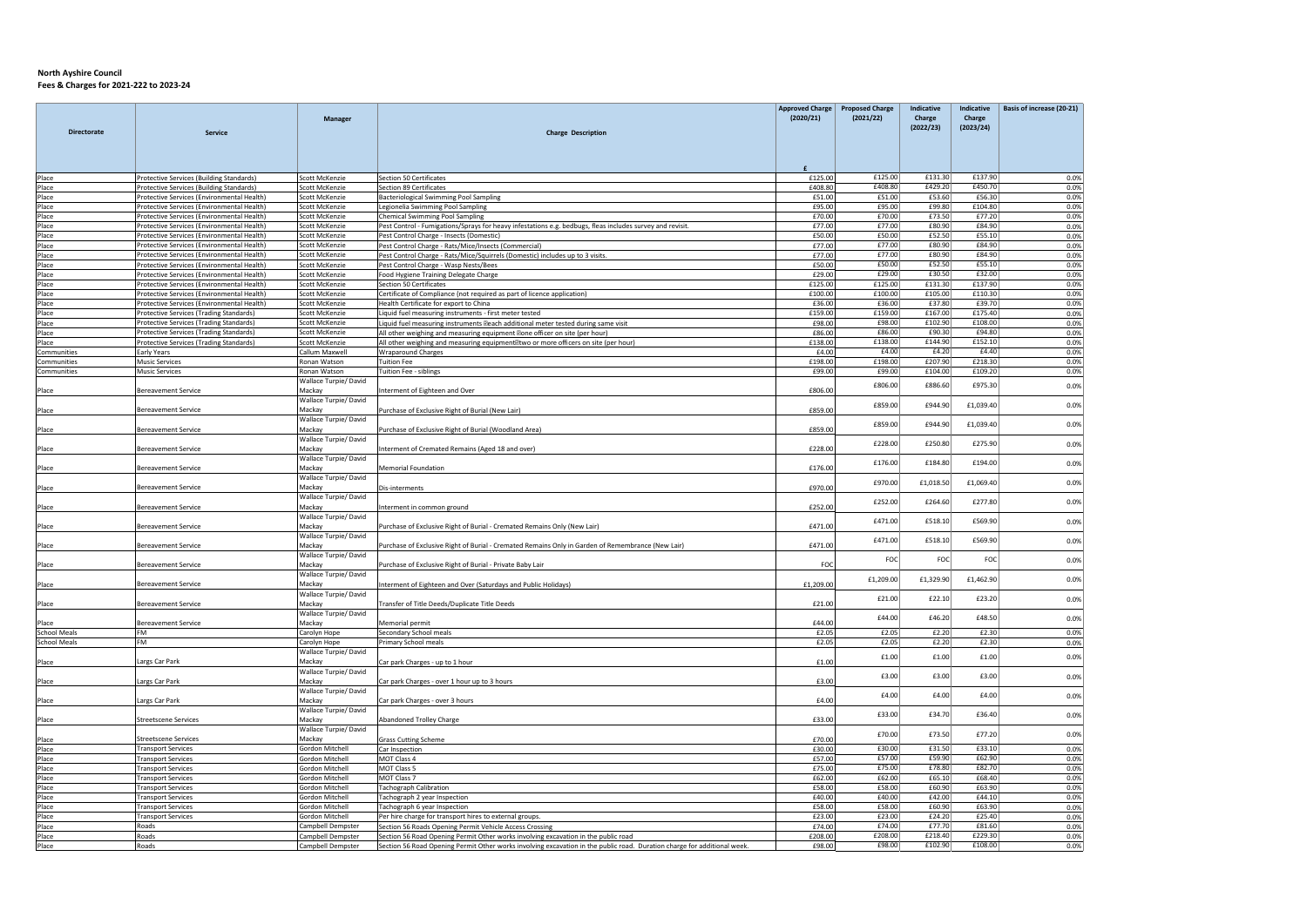|                     |                                                                                          |                                           |                                                                                                                                                                   | <b>Approved Charge</b> | <b>Proposed Charge</b> | Indicative         | <b>Indicative</b>  | Basis of increase (20-21) |
|---------------------|------------------------------------------------------------------------------------------|-------------------------------------------|-------------------------------------------------------------------------------------------------------------------------------------------------------------------|------------------------|------------------------|--------------------|--------------------|---------------------------|
|                     |                                                                                          | <b>Manager</b>                            |                                                                                                                                                                   | (2020/21)              | (2021/22)              | Charge             | Charge             |                           |
| <b>Directorate</b>  | <b>Service</b>                                                                           |                                           | <b>Charge Description</b>                                                                                                                                         |                        |                        | (2022/23)          | (2023/24)          |                           |
|                     |                                                                                          |                                           |                                                                                                                                                                   |                        |                        |                    |                    |                           |
|                     |                                                                                          |                                           |                                                                                                                                                                   |                        |                        |                    |                    |                           |
|                     |                                                                                          |                                           |                                                                                                                                                                   |                        |                        |                    |                    |                           |
| Place               | Protective Services (Building Standards)                                                 | Scott McKenzie                            | Section 50 Certificates                                                                                                                                           | £125.00                | £125.00                | £131.30            | £137.90            | 0.0%                      |
| Place               | Protective Services (Building Standards)                                                 | Scott McKenzie                            | Section 89 Certificates                                                                                                                                           | £408.80                | £408.80                | £429.20            | £450.70            | 0.0%                      |
| Place               | Protective Services (Environmental Health)                                               | Scott McKenzie                            | Bacteriological Swimming Pool Sampling                                                                                                                            | £51.00                 | £51.00                 | £53.60             | £56.30             | 0.0%                      |
| Place<br>Place      | Protective Services (Environmental Health)<br>Protective Services (Environmental Health) | Scott McKenzie<br>Scott McKenzie          | Legionelia Swimming Pool Sampling<br><b>Chemical Swimming Pool Sampling</b>                                                                                       | £95.00<br>£70.00       | £95.00<br>£70.00       | £99.80<br>£73.50   | £104.80<br>£77.20  | 0.0%<br>0.0%              |
| Place               | Protective Services (Environmental Health)                                               | Scott McKenzie                            | Pest Control - Fumigations/Sprays for heavy infestations e.g. bedbugs, fleas includes survey and revisit.                                                         | £77.00                 | £77.00                 | £80.90             | £84.90             | 0.0%                      |
| Place               | Protective Services (Environmental Health)                                               | Scott McKenzie                            | Pest Control Charge - Insects (Domestic)                                                                                                                          | £50.00                 | £50.00                 | £52.50             | £55.10             | 0.0%                      |
| Place               | Protective Services (Environmental Health)                                               | Scott McKenzie                            | Pest Control Charge - Rats/Mice/Insects (Commercial)                                                                                                              | £77.00                 | £77.00                 | £80.90             | £84.90             | 0.0%                      |
| Place               | Protective Services (Environmental Health)                                               | Scott McKenzie                            | Pest Control Charge - Rats/Mice/Squirrels (Domestic) includes up to 3 visits.                                                                                     | £77.00                 | £77.00                 | £80.90             | £84.90             | 0.0%                      |
| Place               | Protective Services (Environmental Health)                                               | Scott McKenzie                            | Pest Control Charge - Wasp Nests/Bees                                                                                                                             | £50.00                 | £50.00                 | £52.50             | £55.10             | 0.0%                      |
| Place               | Protective Services (Environmental Health)                                               | Scott McKenzie                            | Food Hygiene Training Delegate Charge                                                                                                                             | £29.00                 | £29.00                 | £30.50             | £32.00             | 0.0%                      |
| Place               | Protective Services (Environmental Health)                                               | Scott McKenzie                            | <b>Section 50 Certificates</b>                                                                                                                                    | £125.00                | £125.00                | £131.30            | £137.90            | 0.0%                      |
| Place               | Protective Services (Environmental Health)                                               | Scott McKenzie                            | Certificate of Compliance (not required as part of licence application)                                                                                           | £100.00                | £100.00                | £105.00            | £110.30            | 0.0%                      |
| Place               | Protective Services (Environmental Health)                                               | <b>Scott McKenzie</b>                     | Health Certificate for export to China                                                                                                                            | £36.00                 | £36.00                 | £37.80             | £39.70             | 0.0%                      |
| Place               | Protective Services (Trading Standards)                                                  | Scott McKenzie                            | Liquid fuel measuring instruments - first meter tested                                                                                                            | £159.00                | £159.00<br>£98.00      | £167.00<br>£102.90 | £175.40<br>£108.00 | 0.0%                      |
| Place               | Protective Services (Trading Standards)<br>Protective Services (Trading Standards)       | Scott McKenzie<br>Scott McKenzie          | Liquid fuel measuring instruments @each additional meter tested during same visit                                                                                 | £98.00                 | £86.00                 | £90.30             | £94.80             | 0.0%<br>0.0%              |
| Place<br>Place      | Protective Services (Trading Standards)                                                  | Scott McKenzie                            | All other weighing and measuring equipment Zone officer on site (per hour)<br>All other weighing and measuring equipment ltwo or more officers on site (per hour) | £86.00<br>£138.00      | £138.00                | £144.90            | £152.10            | 0.0%                      |
| Communities         | Early Years                                                                              | Callum Maxwell                            | <b>Wraparound Charges</b>                                                                                                                                         | £4.00                  | £4.00                  | £4.20              | £4.40              | 0.0%                      |
| Communities         | <b>Music Services</b>                                                                    | Ronan Watson                              | <b>Tuition Fee</b>                                                                                                                                                | £198.00                | £198.00                | £207.90            | £218.30            | 0.0%                      |
| Communities         | <b>Music Services</b>                                                                    | Ronan Watson                              | Tuition Fee - siblings                                                                                                                                            | £99.00                 | £99.00                 | £104.00            | £109.20            | 0.0%                      |
|                     |                                                                                          | Wallace Turpie/David                      |                                                                                                                                                                   |                        |                        |                    |                    |                           |
| Place               | <b>Bereavement Service</b>                                                               | Mackay                                    | nterment of Eighteen and Over                                                                                                                                     | £806.00                | £806.00                | £886.60            | £975.30            | 0.0%                      |
|                     |                                                                                          | Wallace Turpie/ David                     |                                                                                                                                                                   |                        | £859.00                | £944.90            | £1,039.40          |                           |
| Place               | <b>Bereavement Service</b>                                                               | Mackay                                    | Purchase of Exclusive Right of Burial (New Lair)                                                                                                                  | £859.00                |                        |                    |                    | 0.0%                      |
|                     |                                                                                          | Wallace Turpie/ David                     |                                                                                                                                                                   |                        | £859.00                | £944.90            | £1,039.40          | 0.0%                      |
| Place               | Bereavement Service                                                                      | Mackay                                    | Purchase of Exclusive Right of Burial (Woodland Area)                                                                                                             | £859.00                |                        |                    |                    |                           |
|                     |                                                                                          | Wallace Turpie/ David                     |                                                                                                                                                                   |                        | £228.00                | £250.80            | £275.90            | 0.0%                      |
| Place               | <b>Bereavement Service</b>                                                               | Mackay                                    | Interment of Cremated Remains (Aged 18 and over)                                                                                                                  | £228.00                |                        |                    |                    |                           |
|                     | <b>Bereavement Service</b>                                                               | Wallace Turpie/ David<br>Mackav           |                                                                                                                                                                   |                        | £176.00                | £184.80            | £194.00            | 0.0%                      |
| Place               |                                                                                          | Wallace Turpie/ David                     | <b>Memorial Foundation</b>                                                                                                                                        | £176.00                |                        |                    |                    |                           |
| Place               | <b>Bereavement Service</b>                                                               | Mackay                                    | Dis-interments                                                                                                                                                    | £970.00                | £970.00                | £1,018.50          | £1,069.40          | 0.0%                      |
|                     |                                                                                          | Wallace Turpie/ David                     |                                                                                                                                                                   |                        |                        |                    |                    |                           |
| Place               | Bereavement Service                                                                      | Mackay                                    | nterment in common ground                                                                                                                                         | £252.00                | £252.00                | £264.60            | £277.80            | 0.0%                      |
|                     |                                                                                          | Wallace Turpie/ David                     |                                                                                                                                                                   |                        |                        |                    |                    |                           |
| Place               | <b>Bereavement Service</b>                                                               | Mackay                                    | Purchase of Exclusive Right of Burial - Cremated Remains Only (New Lair)                                                                                          | £471.00                | £471.00                | £518.10            | £569.90            | 0.0%                      |
|                     |                                                                                          | Wallace Turpie/David                      |                                                                                                                                                                   |                        | £471.00                | £518.10            | £569.90            | 0.0%                      |
| Place               | Bereavement Service                                                                      | Mackay                                    | Purchase of Exclusive Right of Burial - Cremated Remains Only in Garden of Remembrance (New Lair)                                                                 | £471.00                |                        |                    |                    |                           |
|                     |                                                                                          | Wallace Turpie/David                      |                                                                                                                                                                   |                        | FOC                    | FOC                | FOC                | 0.0%                      |
| Place               | <b>Bereavement Service</b>                                                               | Mackay                                    | Purchase of Exclusive Right of Burial - Private Baby Lair                                                                                                         | FOC                    |                        |                    |                    |                           |
|                     |                                                                                          | Wallace Turpie/ David                     |                                                                                                                                                                   |                        | £1,209.00              | £1,329.90          | £1,462.90          | 0.0%                      |
| Place               | <b>Bereavement Service</b>                                                               | Mackay                                    | nterment of Eighteen and Over (Saturdays and Public Holidays)                                                                                                     | £1,209.00              |                        |                    |                    |                           |
|                     | Bereavement Service                                                                      | Wallace Turpie/ David<br>Mackay           |                                                                                                                                                                   | £21.00                 | £21.00                 | £22.10             | £23.20             | 0.0%                      |
| Place               |                                                                                          | Wallace Turpie/David                      | Fransfer of Title Deeds/Duplicate Title Deeds                                                                                                                     |                        |                        |                    |                    |                           |
| Place               | <b>Bereavement Service</b>                                                               | Mackav                                    | Memorial permit                                                                                                                                                   | £44.00                 | £44.00                 | £46.20             | £48.50             | 0.0%                      |
| <b>School Meals</b> | <b>FM</b>                                                                                | Carolyn Hope                              | Secondary School meals                                                                                                                                            | £2.05                  | £2.05                  | £2.20              | £2.30              | 0.0%                      |
| <b>School Meals</b> | <b>FM</b>                                                                                | Carolyn Hope                              | Primary School meals                                                                                                                                              | £2.05                  | £2.05                  | £2.20              | £2.30              | 0.0%                      |
|                     |                                                                                          | Wallace Turpie/David                      |                                                                                                                                                                   |                        |                        |                    |                    |                           |
| Place               | Largs Car Park                                                                           | Mackay                                    | Car park Charges - up to 1 hour                                                                                                                                   | f1.00                  | £1.00                  | £1.00              | £1.00              | 0.0%                      |
|                     |                                                                                          | Wallace Turpie/ David                     |                                                                                                                                                                   |                        | £3.00                  | £3.00              | £3.00              | 0.0%                      |
| Place               | Largs Car Park                                                                           | Mackay                                    | Car park Charges - over 1 hour up to 3 hours                                                                                                                      | £3.00                  |                        |                    |                    |                           |
|                     |                                                                                          | Wallace Turpie/ David                     |                                                                                                                                                                   |                        | £4.00                  | £4.00              | £4.00              | 0.0%                      |
| Place               | Largs Car Park                                                                           | Mackay                                    | Car park Charges - over 3 hours                                                                                                                                   | £4.00                  |                        |                    |                    |                           |
|                     |                                                                                          | Wallace Turpie/David                      |                                                                                                                                                                   |                        | £33.00                 | £34.70             | £36.40             | 0.0%                      |
| Place               | Streetscene Services                                                                     | Mackav                                    | <b>Abandoned Trolley Charge</b>                                                                                                                                   | £33.00                 |                        |                    |                    |                           |
|                     |                                                                                          | Wallace Turpie/ David                     |                                                                                                                                                                   |                        | £70.00                 | £73.50             | £77.20             | 0.0%                      |
| Place               | Streetscene Services                                                                     | Mackay                                    | <b>Grass Cutting Scheme</b>                                                                                                                                       | £70.00                 |                        |                    |                    |                           |
| Place               | <b>Transport Services</b>                                                                | <b>Gordon Mitchell</b>                    | Car Inspection                                                                                                                                                    | £30.00                 | £30.00<br>£57.00       | £31.50<br>£59.90   | £33.10<br>£62.90   | 0.0%                      |
| Place<br>Place      | <b>Transport Services</b><br><b>Transport Services</b>                                   | Gordon Mitchell<br><b>Gordon Mitchell</b> | MOT Class 4<br>MOT Class 5                                                                                                                                        | £57.00<br>£75.00       | £75.00                 | £78.80             | £82.70             | 0.0%<br>0.0%              |
| Place               | <b>Transport Services</b>                                                                | Gordon Mitchell                           | MOT Class 7                                                                                                                                                       | £62.00                 | £62.00                 | £65.10             | £68.40             |                           |
| Place               | <b>Transport Services</b>                                                                | <b>Gordon Mitchell</b>                    | <b>Tachograph Calibration</b>                                                                                                                                     | £58.00                 | £58.00                 | £60.90             | £63.90             | 0.0%<br>0.0%              |
| Place               | <b>Transport Services</b>                                                                | Gordon Mitchell                           | Tachograph 2 year Inspection                                                                                                                                      | £40.00                 | £40.00                 | £42.00             | £44.10             | 0.0%                      |
| Place               | <b>Transport Services</b>                                                                | <b>Gordon Mitchell</b>                    | Tachograph 6 year Inspection                                                                                                                                      | £58.00                 | £58.00                 | £60.90             | £63.90             | 0.0%                      |
| Place               | <b>Transport Services</b>                                                                | Gordon Mitchell                           | Per hire charge for transport hires to external groups.                                                                                                           | £23.00                 | £23.00                 | £24.20             | £25.40             | 0.0%                      |
| Place               | Roads                                                                                    | Campbell Dempster                         | Section 56 Roads Opening Permit Vehicle Access Crossing                                                                                                           | £74.00                 | £74.00                 | £77.70             | £81.60             | 0.0%                      |
| Place               | Roads                                                                                    | Campbell Dempster                         | Section 56 Road Opening Permit Other works involving excavation in the public road                                                                                | £208.00                | £208.00                | £218.40            | £229.30            | 0.0%                      |
| Place               | Roads                                                                                    | Campbell Dempster                         | Section 56 Road Opening Permit Other works involving excavation in the public road. Duration charge for additional week.                                          | £98.00                 | £98.00                 | £102.90            | £108.00            | 0.0%                      |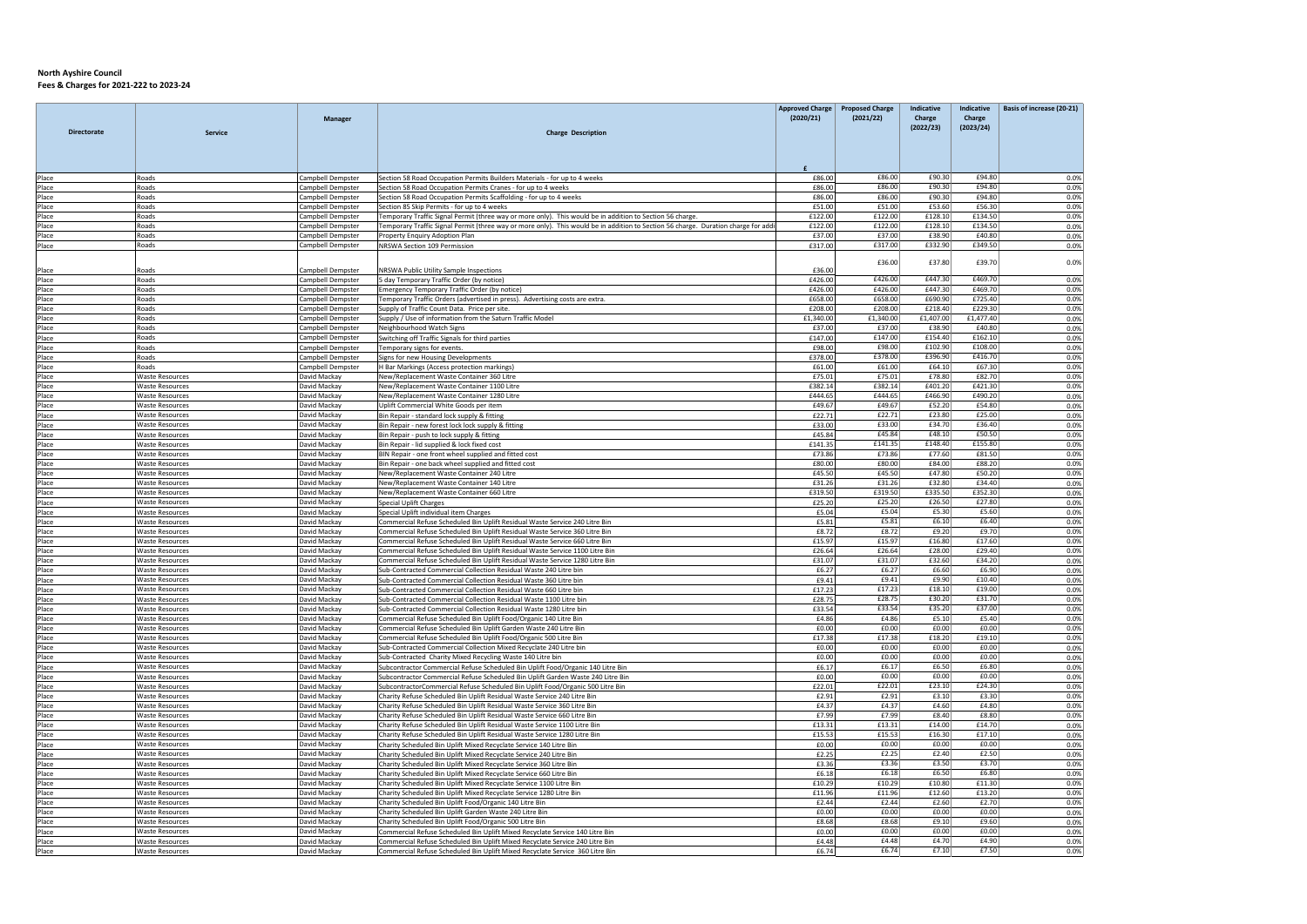| <b>Directorate</b> | <b>Service</b>                                   | <b>Manager</b>                         | <b>Charge Description</b>                                                                                                                                  | <b>Approved Charge</b><br>(2020/21) | <b>Proposed Charge</b><br>(2021/22) | Indicative<br>Charge<br>(2022/23) | Indicative<br>Charge<br>(2023/24) | Basis of increase (20-21) |
|--------------------|--------------------------------------------------|----------------------------------------|------------------------------------------------------------------------------------------------------------------------------------------------------------|-------------------------------------|-------------------------------------|-----------------------------------|-----------------------------------|---------------------------|
|                    |                                                  |                                        |                                                                                                                                                            |                                     |                                     |                                   |                                   |                           |
| Place              | Roads                                            | Campbell Dempster                      | Section 58 Road Occupation Permits Builders Materials - for up to 4 weeks                                                                                  | £86.00                              | £86.00                              | £90.30                            | £94.80                            | 0.0%                      |
| Place              | Roads                                            | Campbell Dempster                      | Section 58 Road Occupation Permits Cranes - for up to 4 weeks                                                                                              | £86.00                              | £86.00                              | £90.30                            | £94.80                            | 0.0%                      |
| Place              | Roads<br>Roads                                   | Campbell Dempster                      | Section 58 Road Occupation Permits Scaffolding - for up to 4 weeks                                                                                         | £86.00<br>£51.00                    | £86.00<br>£51.00                    | £90.30<br>£53.60                  | £94.80<br>£56.30                  | 0.0%                      |
| Place<br>Place     | Roads                                            | Campbell Dempster<br>Campbell Dempster | Section 85 Skip Permits - for up to 4 weeks<br>Temporary Traffic Signal Permit (three way or more only). This would be in addition to Section 56 charge.   | £122.00                             | £122.00                             | £128.10                           | £134.50                           | 0.0%<br>0.0%              |
| Place              | Roads                                            | Campbell Dempster                      | Temporary Traffic Signal Permit (three way or more only). This would be in addition to Section 56 charge. Duration charge for add                          | £122.00                             | £122.00                             | £128.10                           | £134.50                           | 0.0%                      |
| Place              | Roads                                            | Campbell Dempster                      | Property Enquiry Adoption Plan                                                                                                                             | £37.00                              | £37.00                              | £38.90                            | £40.80                            | 0.0%                      |
| Place              | Roads                                            | Campbell Dempster                      | NRSWA Section 109 Permission                                                                                                                               | £317.00                             | £317.00                             | £332.90                           | £349.50                           | 0.0%                      |
|                    |                                                  |                                        |                                                                                                                                                            |                                     | £36.00                              | £37.80                            | £39.70                            |                           |
| Place              | Roads                                            | Campbell Dempster                      | NRSWA Public Utility Sample Inspections                                                                                                                    | £36.00                              |                                     |                                   |                                   | 0.0%                      |
| Place              | Roads                                            | Campbell Dempster                      | 5 day Temporary Traffic Order (by notice)                                                                                                                  | £426.00                             | £426.00                             | £447.30                           | £469.70                           | 0.0%                      |
| Place              | Roads                                            | Campbell Dempster                      | Emergency Temporary Traffic Order (by notice)                                                                                                              | £426.00                             | £426.00                             | £447.30                           | £469.70                           | 0.0%                      |
| Place              | Roads                                            | Campbell Dempster                      | Temporary Traffic Orders (advertised in press). Advertising costs are extra.                                                                               | £658.00                             | £658.00<br>£208.00                  | £690.90<br>£218.40                | £725.40<br>£229.30                | 0.0%                      |
| Place<br>Place     | Roads<br>Roads                                   | Campbell Dempster<br>Campbell Dempster | Supply of Traffic Count Data. Price per site.<br>Supply / Use of information from the Saturn Traffic Model                                                 | £208.00<br>£1,340.00                | £1,340.00                           | £1,407.00                         | £1,477.40                         | 0.0%                      |
| Place              | Roads                                            | Campbell Dempster                      | Neighbourhood Watch Signs                                                                                                                                  | £37.00                              | £37.00                              | £38.90                            | £40.80                            | 0.0%<br>0.0%              |
| Place              | Roads                                            | Campbell Dempster                      | Switching off Traffic Signals for third parties                                                                                                            | £147.00                             | £147.00                             | £154.40                           | £162.10                           | 0.0%                      |
| Place              | Roads                                            | Campbell Dempster                      | Temporary signs for events.                                                                                                                                | £98.00                              | £98.00                              | £102.90                           | £108.00                           | 0.0%                      |
| Place              | Roads                                            | Campbell Dempster                      | Signs for new Housing Developments                                                                                                                         | £378.00                             | £378.00                             | £396.90                           | £416.70                           | 0.0%                      |
| Place              | Roads                                            | Campbell Dempster                      | H Bar Markings (Access protection markings)                                                                                                                | £61.00                              | £61.00                              | £64.10                            | £67.30                            | 0.0%                      |
| Place              | <b>Waste Resources</b><br><b>Waste Resources</b> | David Mackav<br>David Mackav           | New/Replacement Waste Container 360 Litre                                                                                                                  | £75.01                              | £75.01<br>£382.14                   | £78.80<br>£401.20                 | £82.70<br>£421.30                 | 0.0%                      |
| Place<br>Place     | <b>Waste Resources</b>                           | David Mackay                           | New/Replacement Waste Container 1100 Litre<br>New/Replacement Waste Container 1280 Litre                                                                   | £382.14<br>£444.65                  | £444.65                             | £466.90                           | £490.20                           | 0.0%<br>0.0%              |
| Place              | <b>Waste Resources</b>                           | David Mackay                           | Uplift Commercial White Goods per item                                                                                                                     | £49.67                              | £49.67                              | £52.20                            | £54.80                            | 0.0%                      |
| Place              | <b>Waste Resources</b>                           | David Mackay                           | Bin Repair - standard lock supply & fitting                                                                                                                | £22.71                              | £22.71                              | £23.80                            | £25.00                            | 0.0%                      |
| Place              | <b>Waste Resources</b>                           | David Mackay                           | Bin Repair - new forest lock lock supply & fitting                                                                                                         | £33.00                              | £33.00                              | £34.70                            | £36.40                            | 0.0%                      |
| Place              | <b>Waste Resources</b>                           | David Mackav                           | Bin Repair - push to lock supply & fitting                                                                                                                 | £45.84                              | £45.84                              | £48.10                            | £50.50                            | 0.0%                      |
| Place              | <b>Waste Resources</b>                           | David Mackay                           | Bin Repair - lid supplied & lock fixed cost                                                                                                                | £141.35                             | £141.35                             | £148.40                           | £155.80                           | 0.0%                      |
| Place              | <b>Waste Resources</b>                           | David Mackay                           | BIN Repair - one front wheel supplied and fitted cost                                                                                                      | £73.86<br>£80.00                    | £73.86<br>£80.00                    | £77.60<br>£84.00                  | £81.50<br>£88.20                  | 0.0%<br>0.0%              |
| Place<br>Place     | <b>Waste Resources</b><br><b>Waste Resources</b> | David Mackay<br>David Mackay           | Bin Repair - one back wheel supplied and fitted cost<br>New/Replacement Waste Container 240 Litre                                                          | £45.50                              | £45.50                              | £47.80                            | £50.20                            | 0.0%                      |
| Place              | <b>Waste Resources</b>                           | David Mackay                           | New/Replacement Waste Container 140 Litre                                                                                                                  | £31.26                              | £31.26                              | £32.80                            | £34.40                            | 0.0%                      |
| Place              | <b>Waste Resources</b>                           | David Mackay                           | New/Replacement Waste Container 660 Litre                                                                                                                  | £319.50                             | £319.50                             | £335.50                           | £352.30                           | 0.0%                      |
| Place              | <b>Waste Resources</b>                           | David Mackay                           | <b>Special Uplift Charges</b>                                                                                                                              | £25.20                              | £25.20                              | £26.50                            | £27.80                            | 0.0%                      |
| Place              | <b>Waste Resources</b>                           | David Mackay                           | Special Uplift individual item Charges                                                                                                                     | £5.04                               | £5.04                               | £5.30                             | £5.60                             | 0.0%                      |
| Place<br>Place     | <b>Waste Resources</b><br><b>Waste Resources</b> | David Mackay<br>David Mackay           | Commercial Refuse Scheduled Bin Uplift Residual Waste Service 240 Litre Bin<br>Commercial Refuse Scheduled Bin Uplift Residual Waste Service 360 Litre Bin | £5.81<br>£8.72                      | £5.81<br>£8.72                      | £6.10<br>£9.20                    | £6.40<br>£9.70                    | 0.0%                      |
| Place              | <b>Waste Resources</b>                           | David Mackav                           | Commercial Refuse Scheduled Bin Uplift Residual Waste Service 660 Litre Bin                                                                                | £15.97                              | £15.97                              | £16.80                            | £17.60                            | 0.0%<br>0.0%              |
| Place              | <b>Waste Resources</b>                           | David Mackay                           | Commercial Refuse Scheduled Bin Uplift Residual Waste Service 1100 Litre Bin                                                                               | £26.64                              | £26.64                              | £28.00                            | £29.40                            | 0.0%                      |
| Place              | <b>Waste Resources</b>                           | David Mackay                           | Commercial Refuse Scheduled Bin Uplift Residual Waste Service 1280 Litre Bin                                                                               | £31.07                              | £31.07                              | £32.60                            | £34.20                            | 0.0%                      |
| Place              | <b>Waste Resources</b>                           | David Mackay                           | Sub-Contracted Commercial Collection Residual Waste 240 Litre bin                                                                                          | £6.27                               | F6.27                               | £6.60                             | £6.90                             | 0.0%                      |
| Place              | <b>Waste Resources</b>                           | David Mackay                           | Sub-Contracted Commercial Collection Residual Waste 360 Litre bin                                                                                          | £9.41                               | £9.41                               | £9.90                             | £10.40                            | 0.0%                      |
| Place              | <b>Waste Resources</b>                           | David Mackay                           | Sub-Contracted Commercial Collection Residual Waste 660 Litre bin                                                                                          | £17.23                              | £17.23                              | £18.10                            | £19.00                            | 0.0%                      |
| Place<br>Place     | <b>Waste Resources</b><br><b>Waste Resources</b> | David Mackay<br>David Mackay           | Sub-Contracted Commercial Collection Residual Waste 1100 Litre bin<br>Sub-Contracted Commercial Collection Residual Waste 1280 Litre bin                   | £28.75<br>£33.54                    | £28.75<br>£33.54                    | £30.20<br>£35.20                  | £31.70<br>£37.00                  | 0.0%<br>0.0%              |
| Place              | <b>Waste Resources</b>                           | David Mackay                           | Commercial Refuse Scheduled Bin Uplift Food/Organic 140 Litre Bin                                                                                          | £4.86                               | £4.86                               | £5.10                             | £5.40                             | 0.0%                      |
| Place              | <b>Waste Resources</b>                           | David Mackay                           | Commercial Refuse Scheduled Bin Uplift Garden Waste 240 Litre Bin                                                                                          | £0.00                               | £0.00                               | £0.00                             | £0.00                             | 0.0%                      |
| Place              | <b>Waste Resources</b>                           | David Mackay                           | Commercial Refuse Scheduled Bin Uplift Food/Organic 500 Litre Bin                                                                                          | £17.38                              | £17.38                              | £18.20                            | £19.10                            | 0.0%                      |
| Place              | <b>Waste Resources</b>                           | David Mackay                           | Sub-Contracted Commercial Collection Mixed Recyclate 240 Litre bin                                                                                         | £0.00                               | £0.00                               | £0.00                             | £0.00                             | 0.0%                      |
| Place<br>Place     | <b>Waste Resources</b><br><b>Waste Resources</b> | David Mackay<br>David Mackay           | Sub-Contracted Charity Mixed Recycling Waste 140 Litre bin<br>Subcontractor Commercial Refuse Scheduled Bin Uplift Food/Organic 140 Litre Bin              | £0.00<br>£6.17                      | £0.00<br>£6.17                      | £0.00<br>£6.50                    | £0.00<br>£6.80                    | 0.0%                      |
| Place              | <b>Waste Resources</b>                           | David Mackay                           | Subcontractor Commercial Refuse Scheduled Bin Uplift Garden Waste 240 Litre Bin                                                                            | £0.00                               | £0.00                               | £0.00                             | £0.00                             | 0.0%<br>0.0%              |
| Place              | <b>Waste Resources</b>                           | David Mackay                           | SubcontractorCommercial Refuse Scheduled Bin Uplift Food/Organic 500 Litre Bin                                                                             | £22.01                              | £22.01                              | £23.10                            | £24.30                            | 0.0%                      |
| Place              | <b>Waste Resources</b>                           | David Mackav                           | Charity Refuse Scheduled Bin Uplift Residual Waste Service 240 Litre Bin                                                                                   | £2.91                               | £2.91                               | £3.10                             | £3.30                             | 0.0%                      |
| Place              | <b>Waste Resources</b>                           | David Mackay                           | Charity Refuse Scheduled Bin Uplift Residual Waste Service 360 Litre Bin                                                                                   | £4.37                               | £4.37                               | £4.60                             | £4.80                             | 0.0%                      |
| Place              | <b>Waste Resources</b>                           | David Mackay                           | Charity Refuse Scheduled Bin Uplift Residual Waste Service 660 Litre Bin                                                                                   | £7.99                               | £7.99                               | £8.40                             | £8.80                             | 0.0%                      |
| Place              | <b>Waste Resources</b>                           | David Mackay                           | Charity Refuse Scheduled Bin Uplift Residual Waste Service 1100 Litre Bin                                                                                  | £13.31                              | £13.31                              | £14.00                            | £14.70                            | 0.0%                      |
| Place<br>Place     | <b>Waste Resources</b><br><b>Waste Resources</b> | David Mackay<br>David Mackav           | Charity Refuse Scheduled Bin Uplift Residual Waste Service 1280 Litre Bin<br>Charity Scheduled Bin Uplift Mixed Recyclate Service 140 Litre Bin            | £15.53<br>£0.00                     | £15.53<br>£0.00                     | £16.30<br>£0.00                   | £17.10<br>£0.00                   | 0.0%<br>0.0%              |
| Place              | <b>Waste Resources</b>                           | David Mackay                           | Charity Scheduled Bin Uplift Mixed Recyclate Service 240 Litre Bin                                                                                         | £2.25                               | £2.25                               | £2.40                             | £2.50                             | 0.0%                      |
| Place              | <b>Waste Resources</b>                           | David Mackay                           | Charity Scheduled Bin Uplift Mixed Recyclate Service 360 Litre Bin                                                                                         | £3.36                               | £3.36                               | £3.50                             | £3.70                             | 0.0%                      |
| Place              | <b>Waste Resources</b>                           | David Mackay                           | Charity Scheduled Bin Uplift Mixed Recyclate Service 660 Litre Bin                                                                                         | £6.18                               | £6.18                               | £6.50                             | £6.80                             | 0.0%                      |
| Place              | <b>Waste Resources</b>                           | David Mackay                           | Charity Scheduled Bin Uplift Mixed Recyclate Service 1100 Litre Bin                                                                                        | £10.29                              | £10.29                              | £10.80                            | £11.30                            | 0.0%                      |
| Place              | <b>Waste Resources</b>                           | David Mackay                           | Charity Scheduled Bin Uplift Mixed Recyclate Service 1280 Litre Bin                                                                                        | £11.96                              | £11.96                              | £12.60                            | £13.20                            | 0.0%                      |
| Place              | <b>Waste Resources</b>                           | David Mackay                           | Charity Scheduled Bin Uplift Food/Organic 140 Litre Bin                                                                                                    | F <sub>2.44</sub>                   | £2.44                               | £2.60                             | £2.70                             | 0.0%                      |
| Place<br>Place     | <b>Waste Resources</b><br><b>Waste Resources</b> | David Mackay<br>David Mackay           | Charity Scheduled Bin Uplift Garden Waste 240 Litre Bin                                                                                                    | £0.00<br>£8.68                      | £0.00<br>£8.68                      | £0.00<br>£9.10                    | £0.00<br>£9.60                    | 0.0%<br>0.0%              |
| Place              | <b>Waste Resources</b>                           | David Mackay                           | Charity Scheduled Bin Uplift Food/Organic 500 Litre Bin<br>Commercial Refuse Scheduled Bin Uplift Mixed Recyclate Service 140 Litre Bin                    | £0.00                               | £0.00                               | £0.00                             | £0.00                             | 0.0%                      |
| Place              | <b>Waste Resources</b>                           | David Mackay                           | Commercial Refuse Scheduled Bin Uplift Mixed Recyclate Service 240 Litre Bin                                                                               | <b>f4.48</b>                        | £4.48                               | £4.70                             | £4.90                             | 0.0%                      |
| Place              | <b>Waste Resources</b>                           | David Mackay                           | Commercial Refuse Scheduled Bin Uplift Mixed Recyclate Service 360 Litre Bin                                                                               | £6.74                               | £6.74                               | £7.10                             | £7.50                             | 0.0%                      |